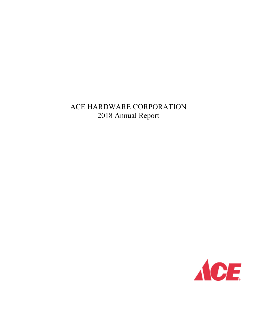# ACE HARDWARE CORPORATION 2018 Annual Report

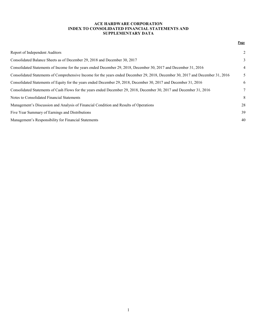# **ACE HARDWARE CORPORATION INDEX TO CONSOLIDATED FINANCIAL STATEMENTS AND SUPPLEMENTARY DATA**

**Page**

| Report of Independent Auditors                                                                                                 | $\overline{2}$ |
|--------------------------------------------------------------------------------------------------------------------------------|----------------|
| Consolidated Balance Sheets as of December 29, 2018 and December 30, 2017                                                      | 3              |
| Consolidated Statements of Income for the years ended December 29, 2018, December 30, 2017 and December 31, 2016               | $\overline{4}$ |
| Consolidated Statements of Comprehensive Income for the years ended December 29, 2018, December 30, 2017 and December 31, 2016 | 5              |
| Consolidated Statements of Equity for the years ended December 29, 2018, December 30, 2017 and December 31, 2016               | 6              |
| Consolidated Statements of Cash Flows for the years ended December 29, 2018, December 30, 2017 and December 31, 2016           | 7              |
| Notes to Consolidated Financial Statements                                                                                     | 8              |
| Management's Discussion and Analysis of Financial Condition and Results of Operations                                          | 28             |
| Five Year Summary of Earnings and Distributions                                                                                | 39             |
| Management's Responsibility for Financial Statements                                                                           | 40             |
|                                                                                                                                |                |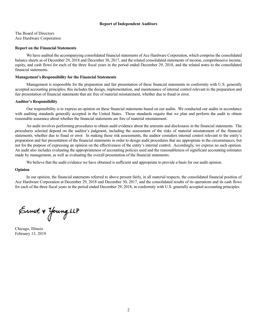#### **Report of Independent Auditors**

The Board of Directors Ace Hardware Corporation

#### **Report on the Financial Statements**

We have audited the accompanying consolidated financial statements of Ace Hardware Corporation, which comprise the consolidated balance sheets as of December 29, 2018 and December 30, 2017, and the related consolidated statements of income, comprehensive income, equity, and cash flows for each of the three fiscal years in the period ended December 29, 2018, and the related notes to the consolidated financial statements.

#### **Management's Responsibility for the Financial Statements**

Management is responsible for the preparation and fair presentation of these financial statements in conformity with U.S. generally accepted accounting principles; this includes the design, implementation, and maintenance of internal control relevant to the preparation and fair presentation of financial statements that are free of material misstatement, whether due to fraud or error.

#### **Auditor's Responsibility**

Our responsibility is to express an opinion on these financial statements based on our audits. We conducted our audits in accordance with auditing standards generally accepted in the United States. Those standards require that we plan and perform the audit to obtain reasonable assurance about whether the financial statements are free of material misstatement.

An audit involves performing procedures to obtain audit evidence about the amounts and disclosures in the financial statements. The procedures selected depend on the auditor's judgment, including the assessment of the risks of material misstatement of the financial statements, whether due to fraud or error. In making those risk assessments, the auditor considers internal control relevant to the entity's preparation and fair presentation of the financial statements in order to design audit procedures that are appropriate in the circumstances, but not for the purpose of expressing an opinion on the effectiveness of the entity's internal control. Accordingly, we express no such opinion. An audit also includes evaluating the appropriateness of accounting policies used and the reasonableness of significant accounting estimates made by management, as well as evaluating the overall presentation of the financial statements.

We believe that the audit evidence we have obtained is sufficient and appropriate to provide a basis for our audit opinion.

#### **Opinion**

In our opinion, the financial statements referred to above present fairly, in all material respects, the consolidated financial position of Ace Hardware Corporation at December 29, 2018 and December 30, 2017, and the consolidated results of its operations and its cash flows for each of the three fiscal years in the period ended December 29, 2018, in conformity with U.S. generally accepted accounting principles.

Ernet + Young LLP

Chicago, Illinois February 13, 2019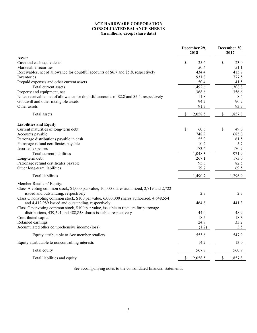# **ACE HARDWARE CORPORATION CONSOLIDATED BALANCE SHEETS (In millions, except share data)**

|                                                                                                                        | December 29,<br>2018 |    | December 30,<br>2017 |
|------------------------------------------------------------------------------------------------------------------------|----------------------|----|----------------------|
| <b>Assets</b>                                                                                                          |                      |    |                      |
| Cash and cash equivalents                                                                                              | \$<br>25.6<br>50.4   | \$ | 23.0                 |
| Marketable securities<br>Receivables, net of allowance for doubtful accounts of \$6.7 and \$5.8, respectively          | 434.4                |    | 51.1<br>415.7        |
| Inventories                                                                                                            | 931.8                |    | 777.5                |
| Prepaid expenses and other current assets                                                                              | 50.4                 |    | 41.5                 |
| Total current assets                                                                                                   | 1,492.6              |    | 1,308.8              |
| Property and equipment, net                                                                                            | 368.6                |    | 356.6                |
| Notes receivable, net of allowance for doubtful accounts of \$2.8 and \$5.4, respectively                              | 11.8                 |    | 8.4                  |
| Goodwill and other intangible assets                                                                                   | 94.2                 |    | 90.7                 |
| Other assets                                                                                                           | 91.3                 |    | 93.3                 |
| Total assets                                                                                                           | \$<br>2,058.5        | \$ | 1,857.8              |
| <b>Liabilities and Equity</b>                                                                                          |                      |    |                      |
| Current maturities of long-term debt                                                                                   | \$<br>60.6           | \$ | 49.0                 |
| Accounts payable                                                                                                       | 748.9                |    | 685.0                |
| Patronage distributions payable in cash                                                                                | 55.0                 |    | 61.5                 |
| Patronage refund certificates payable                                                                                  | 10.2                 |    | 5.7                  |
| Accrued expenses                                                                                                       | 173.6                |    | 170.7                |
| Total current liabilities                                                                                              | 1,048.3              |    | 971.9                |
| Long-term debt                                                                                                         | 267.1                |    | 173.0                |
| Patronage refund certificates payable                                                                                  | 95.6                 |    | 82.5                 |
| Other long-term liabilities                                                                                            | 79.7                 |    | 69.5                 |
| Total liabilities                                                                                                      | 1,490.7              |    | 1,296.9              |
| Member Retailers' Equity:<br>Class A voting common stock, \$1,000 par value, 10,000 shares authorized, 2,719 and 2,722 |                      |    |                      |
| issued and outstanding, respectively                                                                                   | 2.7                  |    | 2.7                  |
| Class C nonvoting common stock, \$100 par value, 6,000,000 shares authorized, 4,648,554                                |                      |    |                      |
| and 4,412,989 issued and outstanding, respectively                                                                     | 464.8                |    | 441.3                |
| Class C nonvoting common stock, \$100 par value, issuable to retailers for patronage                                   |                      |    |                      |
| distributions, 439,591 and 488,858 shares issuable, respectively                                                       | 44.0                 |    | 48.9                 |
| Contributed capital                                                                                                    | 18.5                 |    | 18.3                 |
| Retained earnings                                                                                                      | 24.8                 |    | 33.2                 |
| Accumulated other comprehensive income (loss)                                                                          | (1.2)                |    | 3.5                  |
| Equity attributable to Ace member retailers                                                                            | 553.6                |    | 547.9                |
| Equity attributable to noncontrolling interests                                                                        | 14.2                 |    | 13.0                 |
| Total equity                                                                                                           | 567.8                |    | 560.9                |
| Total liabilities and equity                                                                                           | \$<br>2,058.5        | \$ | 1,857.8              |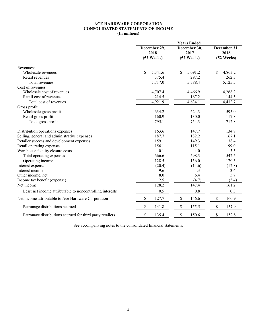# **ACE HARDWARE CORPORATION CONSOLIDATED STATEMENTS OF INCOME (In millions)**

| December 29,<br>December 30,<br>December 31,<br>2016<br>2018<br>2017<br>(52 Weeks)<br>(52 Weeks)<br>(52 Weeks)<br>Revenues:<br>\$<br>\$<br>\$<br>5,091.2<br>Wholesale revenues<br>5,341.6<br>4,863.2<br>Retail revenues<br>297.2<br>375.4<br>262.3<br>Total revenues<br>5,717.0<br>5,388.4<br>5,125.5<br>Cost of revenues:<br>Wholesale cost of revenues<br>4,707.4<br>4,466.9<br>4,268.2<br>Retail cost of revenues<br>214.5<br>167.2<br>144.5<br>4,921.9<br>4,634.1<br>4,412.7<br>Total cost of revenues<br>Gross profit:<br>634.2<br>595.0<br>Wholesale gross profit<br>624.3<br>160.9<br>130.0<br>Retail gross profit<br>117.8<br>795.1<br>754.3<br>712.8<br>Total gross profit<br>163.6<br>Distribution operations expenses<br>147.7<br>134.7<br>Selling, general and administrative expenses<br>187.7<br>182.2<br>167.1<br>159.1<br>149.3<br>138.4<br>Retailer success and development expenses<br>156.1<br>115.1<br>99.0<br>Retail operating expenses<br>Warehouse facility closure costs<br>0.1<br>4.0<br>3.3<br>542.5<br>666.6<br>598.3<br>Total operating expenses<br>128.5<br>156.0<br>Operating income<br>170.3<br>Interest expense<br>(20.4)<br>(12.8)<br>(14.6)<br>Interest income<br>9.6<br>4.3<br>3.4<br>8.0<br>5.7<br>6.4<br>Other income, net<br>2.5<br>(4.7)<br>(5.4)<br>Income tax benefit (expense)<br>128.2<br>Net income<br>147.4<br>161.2<br>0.5<br>0.8<br>0.3<br>Less: net income attributable to noncontrolling interests<br>\$<br>\$<br>127.7<br>146.6<br>\$<br>160.9<br>Net income attributable to Ace Hardware Corporation<br>\$<br>\$<br>\$<br>141.8<br>155.5<br>157.9<br>Patronage distributions accrued<br>\$<br>\$<br>\$<br>135.4<br>150.6<br>152.8<br>Patronage distributions accrued for third party retailers | <b>Years Ended</b> |  |  |  |  |  |  |
|---------------------------------------------------------------------------------------------------------------------------------------------------------------------------------------------------------------------------------------------------------------------------------------------------------------------------------------------------------------------------------------------------------------------------------------------------------------------------------------------------------------------------------------------------------------------------------------------------------------------------------------------------------------------------------------------------------------------------------------------------------------------------------------------------------------------------------------------------------------------------------------------------------------------------------------------------------------------------------------------------------------------------------------------------------------------------------------------------------------------------------------------------------------------------------------------------------------------------------------------------------------------------------------------------------------------------------------------------------------------------------------------------------------------------------------------------------------------------------------------------------------------------------------------------------------------------------------------------------------------------------------------------------------------------------------------------------------------------------------------------|--------------------|--|--|--|--|--|--|
|                                                                                                                                                                                                                                                                                                                                                                                                                                                                                                                                                                                                                                                                                                                                                                                                                                                                                                                                                                                                                                                                                                                                                                                                                                                                                                                                                                                                                                                                                                                                                                                                                                                                                                                                                   |                    |  |  |  |  |  |  |
|                                                                                                                                                                                                                                                                                                                                                                                                                                                                                                                                                                                                                                                                                                                                                                                                                                                                                                                                                                                                                                                                                                                                                                                                                                                                                                                                                                                                                                                                                                                                                                                                                                                                                                                                                   |                    |  |  |  |  |  |  |
|                                                                                                                                                                                                                                                                                                                                                                                                                                                                                                                                                                                                                                                                                                                                                                                                                                                                                                                                                                                                                                                                                                                                                                                                                                                                                                                                                                                                                                                                                                                                                                                                                                                                                                                                                   |                    |  |  |  |  |  |  |
|                                                                                                                                                                                                                                                                                                                                                                                                                                                                                                                                                                                                                                                                                                                                                                                                                                                                                                                                                                                                                                                                                                                                                                                                                                                                                                                                                                                                                                                                                                                                                                                                                                                                                                                                                   |                    |  |  |  |  |  |  |
|                                                                                                                                                                                                                                                                                                                                                                                                                                                                                                                                                                                                                                                                                                                                                                                                                                                                                                                                                                                                                                                                                                                                                                                                                                                                                                                                                                                                                                                                                                                                                                                                                                                                                                                                                   |                    |  |  |  |  |  |  |
|                                                                                                                                                                                                                                                                                                                                                                                                                                                                                                                                                                                                                                                                                                                                                                                                                                                                                                                                                                                                                                                                                                                                                                                                                                                                                                                                                                                                                                                                                                                                                                                                                                                                                                                                                   |                    |  |  |  |  |  |  |
|                                                                                                                                                                                                                                                                                                                                                                                                                                                                                                                                                                                                                                                                                                                                                                                                                                                                                                                                                                                                                                                                                                                                                                                                                                                                                                                                                                                                                                                                                                                                                                                                                                                                                                                                                   |                    |  |  |  |  |  |  |
|                                                                                                                                                                                                                                                                                                                                                                                                                                                                                                                                                                                                                                                                                                                                                                                                                                                                                                                                                                                                                                                                                                                                                                                                                                                                                                                                                                                                                                                                                                                                                                                                                                                                                                                                                   |                    |  |  |  |  |  |  |
|                                                                                                                                                                                                                                                                                                                                                                                                                                                                                                                                                                                                                                                                                                                                                                                                                                                                                                                                                                                                                                                                                                                                                                                                                                                                                                                                                                                                                                                                                                                                                                                                                                                                                                                                                   |                    |  |  |  |  |  |  |
|                                                                                                                                                                                                                                                                                                                                                                                                                                                                                                                                                                                                                                                                                                                                                                                                                                                                                                                                                                                                                                                                                                                                                                                                                                                                                                                                                                                                                                                                                                                                                                                                                                                                                                                                                   |                    |  |  |  |  |  |  |
|                                                                                                                                                                                                                                                                                                                                                                                                                                                                                                                                                                                                                                                                                                                                                                                                                                                                                                                                                                                                                                                                                                                                                                                                                                                                                                                                                                                                                                                                                                                                                                                                                                                                                                                                                   |                    |  |  |  |  |  |  |
|                                                                                                                                                                                                                                                                                                                                                                                                                                                                                                                                                                                                                                                                                                                                                                                                                                                                                                                                                                                                                                                                                                                                                                                                                                                                                                                                                                                                                                                                                                                                                                                                                                                                                                                                                   |                    |  |  |  |  |  |  |
|                                                                                                                                                                                                                                                                                                                                                                                                                                                                                                                                                                                                                                                                                                                                                                                                                                                                                                                                                                                                                                                                                                                                                                                                                                                                                                                                                                                                                                                                                                                                                                                                                                                                                                                                                   |                    |  |  |  |  |  |  |
|                                                                                                                                                                                                                                                                                                                                                                                                                                                                                                                                                                                                                                                                                                                                                                                                                                                                                                                                                                                                                                                                                                                                                                                                                                                                                                                                                                                                                                                                                                                                                                                                                                                                                                                                                   |                    |  |  |  |  |  |  |
|                                                                                                                                                                                                                                                                                                                                                                                                                                                                                                                                                                                                                                                                                                                                                                                                                                                                                                                                                                                                                                                                                                                                                                                                                                                                                                                                                                                                                                                                                                                                                                                                                                                                                                                                                   |                    |  |  |  |  |  |  |
|                                                                                                                                                                                                                                                                                                                                                                                                                                                                                                                                                                                                                                                                                                                                                                                                                                                                                                                                                                                                                                                                                                                                                                                                                                                                                                                                                                                                                                                                                                                                                                                                                                                                                                                                                   |                    |  |  |  |  |  |  |
|                                                                                                                                                                                                                                                                                                                                                                                                                                                                                                                                                                                                                                                                                                                                                                                                                                                                                                                                                                                                                                                                                                                                                                                                                                                                                                                                                                                                                                                                                                                                                                                                                                                                                                                                                   |                    |  |  |  |  |  |  |
|                                                                                                                                                                                                                                                                                                                                                                                                                                                                                                                                                                                                                                                                                                                                                                                                                                                                                                                                                                                                                                                                                                                                                                                                                                                                                                                                                                                                                                                                                                                                                                                                                                                                                                                                                   |                    |  |  |  |  |  |  |
|                                                                                                                                                                                                                                                                                                                                                                                                                                                                                                                                                                                                                                                                                                                                                                                                                                                                                                                                                                                                                                                                                                                                                                                                                                                                                                                                                                                                                                                                                                                                                                                                                                                                                                                                                   |                    |  |  |  |  |  |  |
|                                                                                                                                                                                                                                                                                                                                                                                                                                                                                                                                                                                                                                                                                                                                                                                                                                                                                                                                                                                                                                                                                                                                                                                                                                                                                                                                                                                                                                                                                                                                                                                                                                                                                                                                                   |                    |  |  |  |  |  |  |
|                                                                                                                                                                                                                                                                                                                                                                                                                                                                                                                                                                                                                                                                                                                                                                                                                                                                                                                                                                                                                                                                                                                                                                                                                                                                                                                                                                                                                                                                                                                                                                                                                                                                                                                                                   |                    |  |  |  |  |  |  |
|                                                                                                                                                                                                                                                                                                                                                                                                                                                                                                                                                                                                                                                                                                                                                                                                                                                                                                                                                                                                                                                                                                                                                                                                                                                                                                                                                                                                                                                                                                                                                                                                                                                                                                                                                   |                    |  |  |  |  |  |  |
|                                                                                                                                                                                                                                                                                                                                                                                                                                                                                                                                                                                                                                                                                                                                                                                                                                                                                                                                                                                                                                                                                                                                                                                                                                                                                                                                                                                                                                                                                                                                                                                                                                                                                                                                                   |                    |  |  |  |  |  |  |
|                                                                                                                                                                                                                                                                                                                                                                                                                                                                                                                                                                                                                                                                                                                                                                                                                                                                                                                                                                                                                                                                                                                                                                                                                                                                                                                                                                                                                                                                                                                                                                                                                                                                                                                                                   |                    |  |  |  |  |  |  |
|                                                                                                                                                                                                                                                                                                                                                                                                                                                                                                                                                                                                                                                                                                                                                                                                                                                                                                                                                                                                                                                                                                                                                                                                                                                                                                                                                                                                                                                                                                                                                                                                                                                                                                                                                   |                    |  |  |  |  |  |  |
|                                                                                                                                                                                                                                                                                                                                                                                                                                                                                                                                                                                                                                                                                                                                                                                                                                                                                                                                                                                                                                                                                                                                                                                                                                                                                                                                                                                                                                                                                                                                                                                                                                                                                                                                                   |                    |  |  |  |  |  |  |
|                                                                                                                                                                                                                                                                                                                                                                                                                                                                                                                                                                                                                                                                                                                                                                                                                                                                                                                                                                                                                                                                                                                                                                                                                                                                                                                                                                                                                                                                                                                                                                                                                                                                                                                                                   |                    |  |  |  |  |  |  |
|                                                                                                                                                                                                                                                                                                                                                                                                                                                                                                                                                                                                                                                                                                                                                                                                                                                                                                                                                                                                                                                                                                                                                                                                                                                                                                                                                                                                                                                                                                                                                                                                                                                                                                                                                   |                    |  |  |  |  |  |  |
|                                                                                                                                                                                                                                                                                                                                                                                                                                                                                                                                                                                                                                                                                                                                                                                                                                                                                                                                                                                                                                                                                                                                                                                                                                                                                                                                                                                                                                                                                                                                                                                                                                                                                                                                                   |                    |  |  |  |  |  |  |
|                                                                                                                                                                                                                                                                                                                                                                                                                                                                                                                                                                                                                                                                                                                                                                                                                                                                                                                                                                                                                                                                                                                                                                                                                                                                                                                                                                                                                                                                                                                                                                                                                                                                                                                                                   |                    |  |  |  |  |  |  |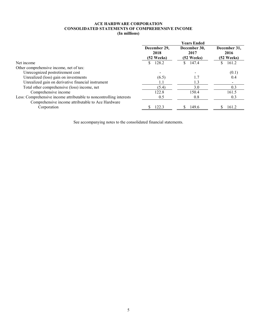# **ACE HARDWARE CORPORATION CONSOLIDATED STATEMENTS OF COMPREHENSIVE INCOME (In millions)**

|                                                                     | <b>Years Ended</b>                 |                                              |                                    |  |  |  |
|---------------------------------------------------------------------|------------------------------------|----------------------------------------------|------------------------------------|--|--|--|
|                                                                     | December 29,<br>2018<br>(52 Weeks) | December 30,<br>2017<br>$(52 \text{ weeks})$ | December 31,<br>2016<br>(52 Weeks) |  |  |  |
| Net income                                                          | 128.2<br>\$                        | 147.4<br>\$                                  | 161.2<br>\$                        |  |  |  |
| Other comprehensive income, net of tax:                             |                                    |                                              |                                    |  |  |  |
| Unrecognized postretirement cost                                    |                                    |                                              | (0.1)                              |  |  |  |
| Unrealized (loss) gain on investments                               | (6.5)                              | 1.7                                          | 0.4                                |  |  |  |
| Unrealized gain on derivative financial instrument                  | 1.1                                | 1.3                                          |                                    |  |  |  |
| Total other comprehensive (loss) income, net                        | (5.4)                              | 3.0                                          | 0.3                                |  |  |  |
| Comprehensive income                                                | 122.8                              | 150.4                                        | 161.5                              |  |  |  |
| Less: Comprehensive income attributable to noncontrolling interests | 0.5                                | 0.8                                          | 0.3                                |  |  |  |
| Comprehensive income attributable to Ace Hardware<br>Corporation    | 122.3                              | 149.6                                        | 161.2                              |  |  |  |
|                                                                     |                                    |                                              |                                    |  |  |  |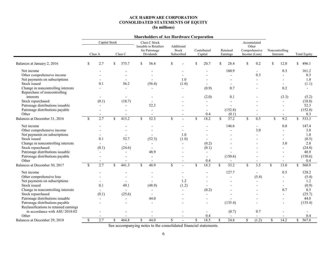# **ACE HARDWARE CORPORATION CONSOLIDATED STATEMENTS OF EQUITY (In millions)**

|                                        |               |                          |               |                          |              | <b>Shareholders of Ace Hardware Corporation</b>                      |                                   |                          |    |                          |               |                        |                |                      |                                                        |             |                             |              |
|----------------------------------------|---------------|--------------------------|---------------|--------------------------|--------------|----------------------------------------------------------------------|-----------------------------------|--------------------------|----|--------------------------|---------------|------------------------|----------------|----------------------|--------------------------------------------------------|-------------|-----------------------------|--------------|
|                                        |               | Capital Stock<br>Class A |               | Class C                  |              | Class C Stock<br>Issuable to Retailers<br>for Patronage<br>Dividends | Additional<br>Stock<br>Subscribed |                          |    |                          |               | Contributed<br>Capital |                | Retained<br>Earnings | Accumulated<br>Other<br>Comprehensive<br>Income (Loss) |             | Noncontrolling<br>Interests | Total Equity |
|                                        |               |                          |               |                          |              |                                                                      |                                   |                          |    |                          |               |                        |                |                      |                                                        |             |                             |              |
| Balances at January 2, 2016            | \$            | 2.7                      | <sup>\$</sup> | 375.7                    | \$           | 56.4                                                                 | $\mathbb{S}$                      |                          | \$ | 20.7                     | \$            | 28.4                   | \$<br>0.2      | \$                   | 12.0                                                   | \$<br>496.1 |                             |              |
| Net income                             |               |                          |               |                          |              |                                                                      |                                   |                          |    |                          |               | 160.9                  |                |                      | 0.3                                                    | 161.2       |                             |              |
| Other comprehensive income             |               |                          |               |                          |              |                                                                      |                                   |                          |    |                          |               |                        | 0.3            |                      | $\blacksquare$                                         | 0.3         |                             |              |
| Net payments on subscriptions          |               |                          |               | $\overline{\phantom{a}}$ |              |                                                                      |                                   | 1.0                      |    |                          |               |                        |                |                      |                                                        | $1.0\,$     |                             |              |
| Stock issued                           |               | 0.1                      |               | 56.2                     |              | (56.4)                                                               |                                   | (1.0)                    |    |                          |               |                        |                |                      |                                                        | (1.1)       |                             |              |
| Change in noncontrolling interests     |               |                          |               |                          |              |                                                                      |                                   |                          |    | (0.9)                    |               | 0.7                    |                |                      | 0.2                                                    |             |                             |              |
| Repurchase of noncontrolling           |               |                          |               |                          |              |                                                                      |                                   |                          |    |                          |               |                        |                |                      |                                                        |             |                             |              |
| interests                              |               | $\overline{\phantom{a}}$ |               | $\overline{\phantom{a}}$ |              |                                                                      |                                   |                          |    | (2.0)                    |               | 0.1                    |                |                      | (3.3)                                                  | (5.2)       |                             |              |
| Stock repurchased                      |               | (0.1)                    |               | (18.7)                   |              |                                                                      |                                   |                          |    |                          |               |                        |                |                      | $\overline{\phantom{a}}$                               | (18.8)      |                             |              |
| Patronage distributions issuable       |               |                          |               | $\overline{\phantom{a}}$ |              | 52.3                                                                 |                                   |                          |    |                          |               |                        |                |                      |                                                        | 52.3        |                             |              |
| Patronage distributions payable        |               |                          |               |                          |              | $\overline{\phantom{a}}$                                             |                                   |                          |    | $\overline{\phantom{a}}$ |               | (152.8)                |                |                      |                                                        | (152.8)     |                             |              |
| Other                                  |               |                          |               |                          |              |                                                                      |                                   |                          |    | 0.4                      |               | (0.1)                  |                |                      | $\blacksquare$                                         | 0.3         |                             |              |
| Balances at December 31, 2016          | <sup>\$</sup> | 2.7                      | S.            | 413.2                    | S.           | 52.3                                                                 | \$                                |                          | \$ | 18.2                     | <sup>\$</sup> | 37.2                   | \$<br>0.5      | \$                   | 9.2                                                    | \$<br>533.3 |                             |              |
| Net income                             |               |                          |               |                          |              |                                                                      |                                   |                          |    |                          |               | 146.6                  |                |                      | $0.8\,$                                                | 147.4       |                             |              |
| Other comprehensive income             |               |                          |               |                          |              |                                                                      |                                   |                          |    |                          |               |                        | 3.0            |                      | $\overline{a}$                                         | 3.0         |                             |              |
| Net payments on subscriptions          |               |                          |               | $\overline{\phantom{a}}$ |              | $\overline{\phantom{a}}$                                             |                                   | 1.0                      |    |                          |               |                        |                |                      |                                                        | 1.0         |                             |              |
| Stock issued                           |               | 0.1                      |               | 52.7                     |              | (52.3)                                                               |                                   | (1.0)                    |    |                          |               |                        |                |                      |                                                        | (0.5)       |                             |              |
| Change in noncontrolling interests     |               |                          |               |                          |              |                                                                      |                                   |                          |    | (0.2)                    |               |                        |                |                      | 3.0                                                    | 2.8         |                             |              |
| Stock repurchased                      |               | (0.1)                    |               | (24.6)                   |              |                                                                      |                                   |                          |    | (0.1)                    |               |                        |                |                      | $\blacksquare$                                         | (24.8)      |                             |              |
| Patronage distributions issuable       |               |                          |               |                          |              | 48.9                                                                 |                                   |                          |    | $\overline{\phantom{a}}$ |               |                        |                |                      |                                                        | 48.9        |                             |              |
| Patronage distributions payable        |               |                          |               |                          |              |                                                                      |                                   |                          |    | $\overline{\phantom{a}}$ |               | (150.6)                |                |                      |                                                        | (150.6)     |                             |              |
| Other                                  |               |                          |               |                          |              |                                                                      |                                   |                          |    | 0.4                      |               | $\sim$                 |                |                      | $\overline{\phantom{a}}$                               | 0.4         |                             |              |
| Balances at December 30, 2017          | $\mathbb{S}$  | 2.7                      | $\mathbb{S}$  | 441.3                    | $\mathbb{S}$ | 48.9                                                                 | $\mathbb{S}$                      |                          | \$ | 18.3                     | \$            | 33.2                   | \$<br>3.5      | \$                   | 13.0                                                   | \$<br>560.9 |                             |              |
| Net income                             |               |                          |               | $\overline{\phantom{a}}$ |              |                                                                      |                                   |                          |    | L,                       |               | 127.7                  | $\sim$         |                      | 0.5                                                    | 128.2       |                             |              |
| Other comprehensive loss               |               |                          |               |                          |              |                                                                      |                                   |                          |    |                          |               |                        | (5.4)          |                      | $\blacksquare$                                         | (5.4)       |                             |              |
| Net payments on subscriptions          |               |                          |               |                          |              |                                                                      |                                   | 1.2                      |    |                          |               |                        | $\overline{a}$ |                      |                                                        | 1.2         |                             |              |
| Stock issued                           |               | 0.1                      |               | 49.1                     |              | (48.9)                                                               |                                   | (1.2)                    |    |                          |               |                        |                |                      |                                                        | (0.9)       |                             |              |
| Change in noncontrolling interests     |               |                          |               |                          |              |                                                                      |                                   | $\overline{\phantom{a}}$ |    | (0.2)                    |               |                        |                |                      | 0.7                                                    | 0.5         |                             |              |
| Stock repurchased                      |               | (0.1)                    |               | (25.6)                   |              |                                                                      |                                   |                          |    | $\blacksquare$           |               |                        |                |                      | $\blacksquare$                                         | (25.7)      |                             |              |
| Patronage distributions issuable       |               |                          |               |                          |              | 44.0                                                                 |                                   |                          |    |                          |               |                        |                |                      |                                                        | 44.0        |                             |              |
| Patronage distributions payable        |               |                          |               |                          |              | $\overline{\phantom{a}}$                                             |                                   |                          |    | $\overline{a}$           |               | (135.4)                |                |                      |                                                        | (135.4)     |                             |              |
| Reclassifications to retained earnings |               |                          |               |                          |              |                                                                      |                                   |                          |    |                          |               |                        |                |                      |                                                        |             |                             |              |
| in accordance with ASU 2018-02         |               |                          |               |                          |              |                                                                      |                                   |                          |    |                          |               | (0.7)                  | 0.7            |                      |                                                        |             |                             |              |
| Other                                  |               |                          |               |                          |              |                                                                      |                                   |                          |    | 0.4                      |               |                        |                |                      |                                                        | 0.4         |                             |              |
| Balances at December 29, 2018          | \$            | 2.7                      | \$            | 464.8                    | $\mathbb{S}$ | 44.0                                                                 | \$                                | $\overline{\phantom{a}}$ | \$ | 18.5                     | \$            | 24.8                   | \$<br>(1.2)    | $\mathbf S$          | 14.2                                                   | \$567.8     |                             |              |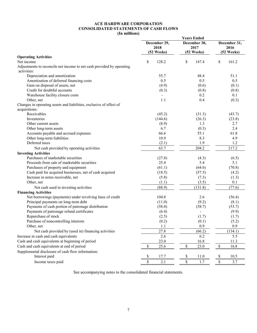# **ACE HARDWARE CORPORATION CONSOLIDATED STATEMENTS OF CASH FLOWS (In millions)**

|                                                                                      | December 29, | December 30,                    | December 31,                      |  |  |
|--------------------------------------------------------------------------------------|--------------|---------------------------------|-----------------------------------|--|--|
|                                                                                      | 2018         | 2017                            | 2016                              |  |  |
|                                                                                      | (52 Weeks)   | (52 Weeks)                      | (52 Weeks)                        |  |  |
| <b>Operating Activities</b>                                                          |              |                                 |                                   |  |  |
| Net income                                                                           | 128.2<br>\$  | \$<br>147.4                     | \$<br>161.2                       |  |  |
| Adjustments to reconcile net income to net cash provided by operating<br>activities: |              |                                 |                                   |  |  |
| Depreciation and amortization                                                        | 55.7         | 48.4                            | 51.1                              |  |  |
| Amortization of deferred financing costs                                             | 0.5          | 0.5                             | 0.5                               |  |  |
| Gain on disposal of assets, net                                                      | (4.9)        | (0.6)                           | (0.1)                             |  |  |
| Credit for doubtful accounts                                                         | (0.3)        | (0.8)                           | (0.8)                             |  |  |
| Warehouse facility closure costs                                                     |              | 0.2                             | 0.1                               |  |  |
| Other, net                                                                           | 1.1          | 0.4                             | (0.3)                             |  |  |
| Changes in operating assets and liabilities, exclusive of effect of                  |              |                                 |                                   |  |  |
| acquisitions:                                                                        |              |                                 |                                   |  |  |
| Receivables                                                                          | (45.2)       | (31.3)                          | (43.7)                            |  |  |
| Inventories                                                                          | (144.6)      | (26.3)                          | (23.8)                            |  |  |
| Other current assets                                                                 | (8.9)        | 1.3                             | 2.7                               |  |  |
| Other long-term assets                                                               | 6.7          | (0.3)                           | 2.4                               |  |  |
| Accounts payable and accrued expenses                                                | 66.6         | 55.1                            | 61.8                              |  |  |
| Other long-term liabilities                                                          | 10.9         | 8.3                             | 4.9                               |  |  |
| Deferred taxes                                                                       | (2.1)        | 1.9                             | 1.2                               |  |  |
| Net cash provided by operating activities                                            | 63.7         | 204.2                           | 217.2                             |  |  |
| <b>Investing Activities</b>                                                          |              |                                 |                                   |  |  |
| Purchases of marketable securities                                                   | (27.8)       | (4.3)                           | (6.5)                             |  |  |
| Proceeds from sale of marketable securities                                          | 25.4         | 5.4                             | 5.1                               |  |  |
| Purchases of property and equipment                                                  | (61.1)       | (64.6)                          | (70.8)                            |  |  |
| Cash paid for acquired businesses, net of cash acquired                              | (18.5)       | (57.5)                          | (4.2)                             |  |  |
| Increase in notes receivable, net                                                    | (5.8)        | (7.3)                           | (1.3)                             |  |  |
| Other, net                                                                           | (1.1)        | (3.5)                           | 0.1                               |  |  |
| Net cash used in investing activities                                                | (88.9)       | (131.8)                         | (77.6)                            |  |  |
| <b>Financing Activities</b>                                                          |              |                                 |                                   |  |  |
| Net borrowings (payments) under revolving lines of credit                            | 104.8        | 2.6                             | (56.4)                            |  |  |
| Principal payments on long-term debt                                                 | (11.0)       | (9.2)                           | (8.1)                             |  |  |
| Payments of cash portion of patronage distribution                                   | (58.0)       | (58.7)                          | (53.7)                            |  |  |
| Payments of patronage refund certificates                                            | (6.4)        |                                 | (9.9)                             |  |  |
| Repurchase of stock                                                                  | (2.5)        | (1.7)                           | (1.7)                             |  |  |
| Purchase of noncontrolling interests                                                 | (0.2)        | (0.1)                           | (5.2)                             |  |  |
| Other, net                                                                           | 1.1          | 0.9                             | 0.9                               |  |  |
| Net cash provided by (used in) financing activities                                  | 27.8         | (66.2)                          | (134.1)                           |  |  |
| Increase in cash and cash equivalents                                                | 2.6          | 6.2                             | 5.5                               |  |  |
| Cash and cash equivalents at beginning of period                                     | 23.0         | 16.8                            | 11.3                              |  |  |
| Cash and cash equivalents at end of period                                           | 25.6<br>S    | \$<br>23.0                      | $\$$<br>16.8                      |  |  |
| Supplemental disclosure of cash flow information:                                    |              |                                 |                                   |  |  |
| Interest paid                                                                        | 17.7<br>S    | \$<br>11.0                      | $\boldsymbol{\mathsf{S}}$<br>10.5 |  |  |
|                                                                                      | \$<br>2.1    | $\overline{\mathcal{S}}$<br>1.7 | \$<br>3.7                         |  |  |
| Income taxes paid                                                                    |              |                                 |                                   |  |  |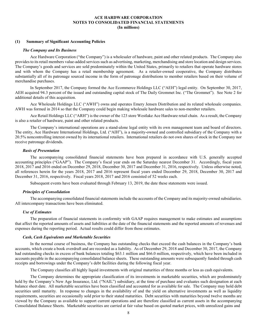#### **(1) Summary of Significant Accounting Policies**

#### *The Company and Its Business*

Ace Hardware Corporation ("the Company") is a wholesaler of hardware, paint and other related products. The Company also provides to its retail members value-added services such as advertising, marketing, merchandising and store location and design services. The Company's goods and services are sold predominately within the United States, primarily to retailers that operate hardware stores and with whom the Company has a retail membership agreement. As a retailer-owned cooperative, the Company distributes substantially all of its patronage sourced income in the form of patronage distributions to member retailers based on their volume of merchandise purchases.

In September 2017, the Company formed the Ace Ecommerce Holdings LLC ("AEH") legal entity. On September 30, 2017, AEH acquired 94.3 percent of the issued and outstanding capital stock of The Daily Grommet Inc. ("The Grommet"). See Note 2 for additional details of this acquisition.

Ace Wholesale Holdings LLC ("AWH") owns and operates Emery Jensen Distribution and its related wholesale companies. AWH was formed in 2014 so that the Company could begin making wholesale hardware sales to non-member retailers.

Ace Retail Holdings LLC ("ARH") is the owner of the 123 store Westlake Ace Hardware retail chain. As a result, the Company is also a retailer of hardware, paint and other related products.

The Company's international operations are a stand-alone legal entity with its own management team and board of directors. The entity, Ace Hardware International Holdings, Ltd. ("AIH"), is a majority-owned and controlled subsidiary of the Company with a 20.5% noncontrolling interest owned by its international retailers. International retailers do not own shares of stock in the Company nor receive patronage dividends.

#### *Basis of Presentation*

The accompanying consolidated financial statements have been prepared in accordance with U.S. generally accepted accounting principles ("GAAP"). The Company's fiscal year ends on the Saturday nearest December 31. Accordingly, fiscal years 2018, 2017 and 2016 ended on December 29, 2018, December 30, 2017 and December 31, 2016, respectively. Unless otherwise noted, all references herein for the years 2018, 2017 and 2016 represent fiscal years ended December 29, 2018, December 30, 2017 and December 31, 2016, respectively. Fiscal years 2018, 2017 and 2016 consisted of 52 weeks each.

Subsequent events have been evaluated through February 13, 2019, the date these statements were issued.

#### *Principles of Consolidation*

The accompanying consolidated financial statements include the accounts of the Company and its majority-owned subsidiaries. All intercompany transactions have been eliminated.

#### *Use of Estimates*

The preparation of financial statements in conformity with GAAP requires management to make estimates and assumptions that affect the reported amounts of assets and liabilities at the date of the financial statements and the reported amounts of revenues and expenses during the reporting period. Actual results could differ from those estimates.

#### *Cash, Cash Equivalents and Marketable Securities*

In the normal course of business, the Company has outstanding checks that exceed the cash balances in the Company's bank accounts, which create a book overdraft and are recorded as a liability. As of December 29, 2018 and December 30, 2017, the Company had outstanding checks in excess of bank balances totaling \$63.1 million and \$66.0 million, respectively, which have been included in accounts payable in the accompanying consolidated balance sheets. These outstanding amounts were subsequently funded through cash receipts and borrowings under the Company's debt facilities during the following fiscal year.

The Company classifies all highly liquid investments with original maturities of three months or less as cash equivalents.

The Company determines the appropriate classification of its investments in marketable securities, which are predominately held by the Company's New Age Insurance, Ltd. ("NAIL") subsidiary, at the time of purchase and evaluates such designation at each balance sheet date. All marketable securities have been classified and accounted for as available for sale. The Company may hold debt securities until maturity. In response to changes in the availability of and the yield on alternative investments as well as liquidity requirements, securities are occasionally sold prior to their stated maturities. Debt securities with maturities beyond twelve months are viewed by the Company as available to support current operations and are therefore classified as current assets in the accompanying Consolidated Balance Sheets. Marketable securities are carried at fair value based on quoted market prices, with unrealized gains and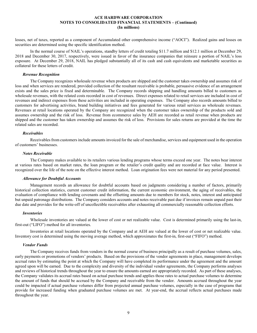losses, net of taxes, reported as a component of Accumulated other comprehensive income ("AOCI"). Realized gains and losses on securities are determined using the specific identification method.

In the normal course of NAIL's operations, standby letters of credit totaling \$11.7 million and \$12.1 million at December 29, 2018 and December 30, 2017, respectively, were issued in favor of the insurance companies that reinsure a portion of NAIL's loss exposure. At December 29, 2018, NAIL has pledged substantially all of its cash and cash equivalents and marketable securities as collateral for these letters of credit.

#### *Revenue Recognition*

The Company recognizes wholesale revenue when products are shipped and the customer takes ownership and assumes risk of loss and when services are rendered, provided collection of the resultant receivable is probable, persuasive evidence of an arrangement exists and the sales price is fixed and determinable. The Company records shipping and handling amounts billed to customers as wholesale revenues, with the related costs recorded in cost of revenues. Direct expenses related to retail services are included in cost of revenues and indirect expenses from these activities are included in operating expenses. The Company also records amounts billed to customers for advertising activities, brand building initiatives and fees generated for various retail services as wholesale revenues. Revenues at retail locations operated by the Company are recognized when the customer takes ownership of the products sold and assumes ownership and the risk of loss. Revenue from ecommerce sales by AEH are recorded as retail revenue when products are shipped and the customer has taken ownership and assumes the risk of loss. Provisions for sales returns are provided at the time the related sales are recorded.

#### *Receivables*

Receivables from customersinclude amounts invoiced for the sale of merchandise, services and equipment used in the operation of customers' businesses.

#### *Notes Receivable*

The Company makes available to its retailers various lending programs whose terms exceed one year. The notes bear interest at various rates based on market rates, the loan program or the retailer's credit quality and are recorded at face value. Interest is recognized over the life of the note on the effective interest method. Loan origination fees were not material for any period presented.

#### *Allowance for Doubtful Accounts*

Management records an allowance for doubtful accounts based on judgments considering a number of factors, primarily historical collection statistics, current customer credit information, the current economic environment, the aging of receivables, the evaluation of compliance with lending covenants and the offsetting amounts due to members for stock, notes, interest and anticipated but unpaid patronage distributions. The Company considers accounts and notes receivable past due if invoices remain unpaid past their due date and provides for the write-off of uncollectible receivables after exhausting all commercially reasonable collection efforts.

#### *Inventories*

Wholesale inventories are valued at the lower of cost or net realizable value. Cost is determined primarily using the last-in, first-out ("LIFO") method for all inventories.

Inventories at retail locations operated by the Company and at AEH are valued at the lower of cost or net realizable value. Inventory cost is determined using the moving average method, which approximates the first-in, first-out ("FIFO") method.

#### *Vendor Funds*

The Company receives funds from vendors in the normal course of business principally as a result of purchase volumes, sales, early payments or promotions of vendors' products. Based on the provisions of the vendor agreements in place, management develops accrual rates by estimating the point at which the Company will have completed its performance under the agreement and the amount agreed upon will be earned. Due to the complexity and diversity of the individual vendor agreements, the Company performs analyses and reviews of historical trends throughout the year to ensure the amounts earned are appropriately recorded. As part of these analyses, the Company validates its accrual rates based on actual purchase trends and applies those rates to actual purchase volumes to determine the amount of funds that should be accrued by the Company and receivable from the vendor. Amounts accrued throughout the year could be impacted if actual purchase volumes differ from projected annual purchase volumes, especially in the case of programs that provide for increased funding when graduated purchase volumes are met. At year-end, the accrual reflects actual purchases made throughout the year.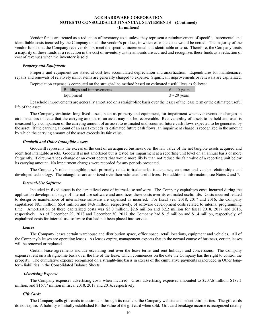Vendor funds are treated as a reduction of inventory cost, unless they represent a reimbursement of specific, incremental and identifiable costs incurred by the Company to sell the vendor's product, in which case the costs would be netted. The majority of the vendor funds that the Company receives do not meet the specific, incremental and identifiable criteria. Therefore, the Company treats a majority of these funds as a reduction in the cost of inventory as the amounts are accrued and recognizes these funds as a reduction of cost of revenues when the inventory is sold.

#### *Property and Equipment*

Property and equipment are stated at cost less accumulated depreciation and amortization. Expenditures for maintenance, repairs and renewals of relatively minor items are generally charged to expense. Significant improvements or renewals are capitalized.

Depreciation expense is computed on the straight-line method based on estimated useful lives as follows:

| Buildings and improvements | $6 - 40$ years |
|----------------------------|----------------|
| Equipment                  | 3 - 20 years   |

Leasehold improvements are generally amortized on a straight-line basis over the lesser of the lease term or the estimated useful life of the asset.

The Company evaluates long-lived assets, such as property and equipment, for impairment whenever events or changes in circumstances indicate that the carrying amount of an asset may not be recoverable. Recoverability of assets to be held and used is measured by a comparison of the carrying amount of an asset to estimated undiscounted future cash flows expected to be generated by the asset. If the carrying amount of an asset exceeds its estimated future cash flows, an impairment charge is recognized in the amount by which the carrying amount of the asset exceeds its fair value.

#### *Goodwill and Other Intangible Assets*

Goodwill represents the excess of the cost of an acquired business over the fair value of the net tangible assets acquired and identified intangible assets. Goodwill is not amortized but is tested for impairment at a reporting unit level on an annual basis or more frequently, if circumstances change or an event occurs that would more likely than not reduce the fair value of a reporting unit below its carrying amount. No impairment charges were recorded for any periods presented.

The Company's other intangible assets primarily relate to trademarks, tradenames, customer and vendor relationships and developed technology. The intangibles are amortized over their estimated useful lives. For additional information, see Notes 2 and 7.

## *Internal-Use Software*

Included in fixed assets is the capitalized cost of internal-use software. The Company capitalizes costs incurred during the application development stage of internal-use software and amortizes these costs over its estimated useful life. Costs incurred related to design or maintenance of internal-use software are expensed as incurred. For fiscal year 2018, 2017 and 2016, the Company capitalized \$8.1 million, \$5.4 million and \$4.6 million, respectively, of software development costs related to internal programming time. Amortization of these capitalized costs was \$3.0 million, \$2.6 million and \$2.2 million for fiscal 2018, 2017 and 2016, respectively. As of December 29, 2018 and December 30, 2017, the Company had \$1.5 million and \$1.4 million, respectively, of capitalized costs for internal-use software that had not been placed into service.

#### *Leases*

The Company leases certain warehouse and distribution space, office space, retail locations, equipment and vehicles. All of the Company's leases are operating leases. As leases expire, management expects that in the normal course of business, certain leases will be renewed or replaced.

Certain lease agreements include escalating rent over the lease terms and rent holidays and concessions. The Company expenses rent on a straight-line basis over the life of the lease, which commences on the date the Company has the right to control the property. The cumulative expense recognized on a straight-line basis in excess of the cumulative payments is included in Other longterm liabilities in the Consolidated Balance Sheets.

#### *Advertising Expense*

The Company expenses advertising costs when incurred. Gross advertising expenses amounted to \$207.6 million, \$187.1 million, and \$167.7 million in fiscal 2018, 2017 and 2016, respectively.

## *Gift Cards*

The Company sells gift cards to customers through its retailers, the Company website and select third parties. The gift cards do not expire. A liability is initially established for the value of the gift card when sold. Gift card breakage income is recognized ratably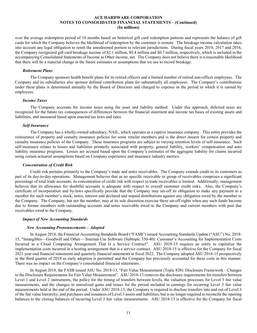over the average redemption period of 18 months based on historical gift card redemption patterns and represents the balance of gift cards for which the Company believes the likelihood of redemption by the customer is remote. The breakage income calculation takes into account any legal obligation to remit the unredeemed portion to relevant jurisdictions. During fiscal years 2018, 2017 and 2016, the Company recognized gift card breakage income of \$2.1 million, \$0.4 million and \$0.7 million, respectively, which is included in the accompanying Consolidated Statements of Income as Other income, net. The Company does not believe there is a reasonable likelihood that there will be a material change in the future estimates or assumptions that we use to record breakage.

#### *Retirement Plans*

The Company sponsors health benefit plans for its retired officers and a limited number of retired non-officer employees. The Company and its subsidiaries also sponsor defined contribution plans for substantially all employees. The Company's contributions under these plans is determined annually by the Board of Directors and charged to expense in the period in which it is earned by employees.

#### *Income Taxes*

The Company accounts for income taxes using the asset and liability method. Under this approach, deferred taxes are recognized for the future tax consequences of differences between the financial statement and income tax bases of existing assets and liabilities, and measured based upon enacted tax laws and rates.

#### *Self-Insurance*

The Company has a wholly-owned subsidiary, NAIL, which operates as a captive insurance company. This entity provides the reinsurance of property and casualty insurance policies for some retailer members and is the direct insurer for certain property and casualty insurance policies of the Company. These insurance programs are subject to varying retention levels of self-insurance. Such self-insurance relates to losses and liabilities primarily associated with property, general liability, workers' compensation and auto liability insurance programs. Losses are accrued based upon the Company's estimates of the aggregate liability for claims incurred using certain actuarial assumptions based on Company experience and insurance industry metrics.

#### *Concentration of Credit Risk*

Credit risk pertains primarily to the Company's trade and notes receivables. The Company extends credit to its customers as part of its day-to-day operations. Management believes that as no specific receivable or group of receivables comprises a significant percentage of total trade accounts, its concentration of credit risk with respect to trade receivables is limited. Additionally, management believes that its allowance for doubtful accounts is adequate with respect to overall customer credit risks. Also, the Company's certificate of incorporation and by-laws specifically provide that the Company may set-off its obligation to make any payment to a member for such member's stock, notes, interest and declared and unpaid distributions against any obligation owed by the member to the Company. The Company, but not the member, may at its sole discretion exercise these set-off rights when any such funds become due to former members with outstanding accounts and notes receivable owed to the Company and current members with past due receivables owed to the Company.

#### *Impact of New Accounting Standards*

#### *New Accounting Pronouncements – Adopted*

In August 2018, the Financial Accounting Standards Board ("FASB") issued Accounting Standards Update ("ASU") No. 2018- 15, "Intangibles—Goodwill and Other— Internal-Use Software (Subtopic 350-40): Customer's Accounting for Implementation Costs Incurred in a Cloud Computing Arrangement That Is a Service Contract". ASU 2018-15 requires an entity to capitalize the implementation costs incurred in a hosting arrangement that is a service contract. ASU 2018-15 is effective for the Company for fiscal 2021 year-end financial statements and quarterly financial statements in fiscal 2022. The Company adopted ASU 2018-15 prospectively in the third quarter of 2018 as early adoption is permitted and the Company has previously accounted for these costs in this manner. There was no impact on the Company's consolidated financial statements.

In August 2018, the FASB issued ASU No. 2018-13, "Fair Value Measurement (Topic 820): Disclosure Framework – Changes to the Disclosure Requirements for Fair Value Measurement". ASU 2018-13 removes the disclosure requirements for transfers between Level 1 and Level 2 instruments, the policy for the timing of transfers between levels, the valuation processes for Level 3 fair value measurements, and the changes in unrealized gains and losses for the period included in earnings for recurring Level 3 fair value measurements held at the end of the period. Under ASU 2018-13, the Company is required to disclose transfers into and out of Level 3 of the fair value hierarchy, and purchases and issuances of Level 3 assets and liabilities, but is no longer required to reconcile the opening balances to the closing balances of recurring Level 3 fair value measurements. ASU 2018-13 is effective for the Company for fiscal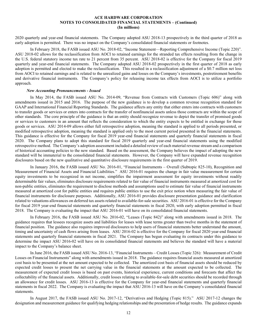2020 quarterly and year-end financial statements. The Company adopted ASU 2018-13 prospectively in the third quarter of 2018 as early adoption is permitted. There was no impact on the Company's consolidated financial statements or footnotes.

In February 2018, the FASB issued ASU No. 2018-02, "Income Statement—Reporting Comprehensive Income (Topic 220)". ASU 2018-02 allows for the reclassification from AOCI to retained earnings for the stranded tax effects resulting from the change in the U.S. federal statutory income tax rate to 21 percent from 35 percent. ASU 2018-02 is effective for the Company for fiscal 2019 quarterly and year-end financial statements. The Company adopted ASU 2018-02 prospectively in the first quarter of 2018 as early adoption is permitted and elected to make the reclassification. This resulted in a reclassification adjustment of a \$0.7 million net loss from AOCI to retained earnings and is related to the unrealized gains and losses on the Company's investments, postretirement benefits and derivative financial instruments. The Company's policy for releasing income tax effects from AOCI is to utilize a portfolio approach.

#### *New Accounting Pronouncements - Issued*

In May 2014, the FASB issued ASU No. 2014-09, "Revenue from Contracts with Customers (Topic 606)" along with amendments issued in 2015 and 2016. The purpose of the new guidance is to develop a common revenue recognition standard for GAAP and International Financial Reporting Standards. The guidance affects any entity that either enters into contracts with customers to transfer goods or services or enters into contracts for the transfer of nonfinancial assets unless those contracts are within the scope of other standards. The core principle of the guidance is that an entity should recognize revenue to depict the transfer of promised goods or services to customers in an amount that reflects the consideration to which the entity expects to be entitled in exchange for those goods or services. ASU 2014-09 allows either full retrospective adoption, meaning the standard is applied to all periods presented, or modified retrospective adoption, meaning the standard is applied only to the most current period presented in the financial statements. This guidance is effective for the Company for fiscal 2019 year-end financial statements and quarterly financial statements in fiscal 2020. The Company plans to adopt this standard for fiscal 2019 quarterly and year-end financial statements using the modified retrospective method. The Company's adoption assessment included a detailed review of each material revenue stream and a comparison of historical accounting policies to the new standard. Based on the assessment, the Company believes the impact of adopting the new standard will be immaterial to the consolidated financial statements. However, the Company will have expanded revenue recognition disclosures based on the new qualitative and quantitative disclosure requirements in the first quarter of 2019.

In January 2016, the FASB issued ASU No. 2016-01, "Financial Instruments – Overall (Subtopic 825-10), Recognition and Measurement of Financial Assets and Financial Liabilities." ASU 2016-01 requires the change in fair value measurement for certain equity investments to be recognized in net income, simplifies the impairment assessment for equity investments without readily determinable fair values, eliminates disclosure requirements related to fair value of financial instruments measured at amortized cost for non-public entities, eliminates the requirement to disclose methods and assumptions used to estimate fair value of financial instruments measured at amortized cost for public entities and requires public entities to use the exit price notion when measuring the fair value of financial instruments for disclosure purposes. Additionally, ASU 2016-01 provides disclosure presentation guidance and clarification related to valuations allowances on deferred tax assets related to available-for-sale securities. ASU 2016-01 is effective for the Company for fiscal 2019 year-end financial statements and quarterly financial statements in fiscal 2020, with early adoption permitted in fiscal 2018. The Company is evaluating the impact that ASU 2016-01 will have on its consolidated financial statements.

In February 2016, the FASB issued ASU No. 2016-02, "Leases (Topic 842)" along with amendments issued in 2018. The guidance requires that lessees recognize assets and liabilities for leases with lease terms greater than twelve months in the statement of financial position. The guidance also requires improved disclosures to help users of financial statements better understand the amount, timing and uncertainty of cash flows arising from leases. ASU 2016-02 is effective for the Company for fiscal 2020 year-end financial statements and quarterly financial statements in fiscal 2021. The Company has begun evaluating its contracts under this guidance to determine the impact ASU 2016-02 will have on its consolidated financial statements and believes the standard will have a material impact to the Company's balance sheet.

In June 2016, the FASB issued ASU No. 2016-13, "Financial Instruments – Credit Losses (Topic 326): Measurement of Credit Losses on Financial Instruments" along with amendments issued in 2018. The guidance requires financial assets measured at amortized cost basis to be presented at the net amount expected to be collected. The amortized cost basis of financial assets should be reduced by expected credit losses to present the net carrying value in the financial statements at the amount expected to be collected. The measurement of expected credit losses is based on past events, historical experience, current conditions and forecasts that affect the collectability of the financial assets. Additionally, credit losses relating to available-for-sale debt securities should be recorded through an allowance for credit losses. ASU 2016-13 is effective for the Company for year-end financial statements and quarterly financial statements in fiscal 2022. The Company is evaluating the impact that ASU 2016-13 will have on the Company's consolidated financial statements.

In August 2017, the FASB issued ASU No. 2017-12, "Derivatives and Hedging (Topic 815)." ASU 2017-12 changes the designation and measurement guidance for qualifying hedging relationships and the presentation of hedge results. The guidance expands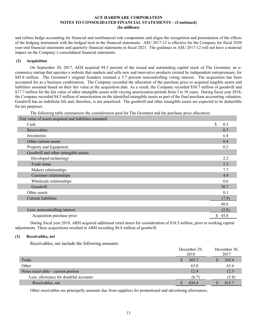and refines hedge accounting for financial and nonfinancial risk components and aligns the recognition and presentation of the effects of the hedging instrument with the hedged item in the financial statements. ASU 2017-12 is effective for the Company for fiscal 2020 year-end financial statements and quarterly financial statements in fiscal 2021. The guidance in ASU 2017-12 will not have a material impact on the Company's consolidated financial statements.

## **(2) Acquisition**

On September 30, 2017, AEH acquired 94.3 percent of the issued and outstanding capital stock of The Grommet, an ecommerce startup that operates a website that markets and sells new and innovative products created by independent entrepreneurs, for \$45.8 million. The Grommet's original founders retained a 5.7 percent noncontrolling voting interest. The acquisition has been accounted for as a business combination. The Company recorded the allocation of the purchase price to acquired tangible assets and liabilities assumed based on their fair value at the acquisition date. As a result, the Company recorded \$30.7 million of goodwill and \$17.7 million for the fair value of other intangible assets with varying amortization periods from 3 to 10 years. During fiscal year 2018, the Company recorded \$4.5 million of amortization on the identified intangible assets as part of the final purchase accounting valuation. Goodwill has an indefinite life and, therefore, is not amortized. The goodwill and other intangible assets are expected to be deductible for tax purposes.

The following table summarizes the consideration paid for The Grommet and the purchase price allocation:

| Fair value of assets acquired and liabilities assumed: |            |
|--------------------------------------------------------|------------|
| Cash                                                   | \$<br>0.3  |
| Receivables                                            | 0.7        |
| Inventories                                            | 6.4        |
| Other current assets                                   | 0.4        |
| Property and Equipment                                 | 0.2        |
| Goodwill and other intangible assets:                  |            |
| Developed technology                                   | 2.2        |
| Trade name                                             | 2.3        |
| Makers relationships                                   | 7.7        |
| Customer relationships                                 | 4.9        |
| Wholesale relationships                                | 0.6        |
| Goodwill                                               | 30.7       |
| Other assets                                           | 0.1        |
| <b>Current liabilities</b>                             | (7.9)      |
|                                                        | 48.6       |
| Less: noncontrolling interest                          | (2.8)      |
| Acquisition purchase price                             | \$<br>45.8 |

During fiscal year 2018, ARH acquired additional retail stores for consideration of \$18.5 million, prior to working capital adjustments. These acquisitions resulted in ARH recording \$8.8 million of goodwill.

# **(3) Receivables, net**

Receivables, net include the following amounts:

|                                       |   | December 29,<br>2018 | December 30,<br>2017 |
|---------------------------------------|---|----------------------|----------------------|
| Trade                                 | S | 365.7                | 345.4                |
| Other                                 |   | 63.0                 | 63.6                 |
| Notes receivable – current portion    |   | 12.4                 | 12.5                 |
| Less: allowance for doubtful accounts |   | (6.7)                | (5.8)                |
| Receivables, net                      |   | 434.4                | 415.7                |

Other receivables are principally amounts due from suppliers for promotional and advertising allowances.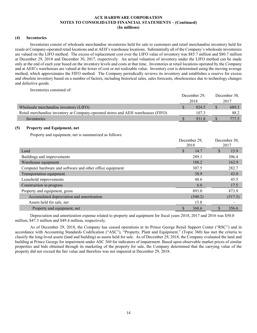#### **(4) Inventories**

Inventories consist of wholesale merchandise inventories held for sale to customers and retail merchandise inventory held for resale at Company-operated retail locations and at AEH's warehouse locations. Substantially all of the Company's wholesale inventories are valued on the LIFO method. The excess of replacement cost over the LIFO value of inventory was \$85.7 million and \$80.7 million at December 29, 2018 and December 30, 2017, respectively. An actual valuation of inventory under the LIFO method can be made only at the end of each year based on the inventory levels and costs at that time. Inventories at retail locations operated by the Company and at AEH's warehouses are valued at the lower of cost or net realizable value. Inventory cost is determined using the moving average method, which approximates the FIFO method. The Company periodically reviews its inventory and establishes a reserve for excess and obsolete inventory based on a number of factors, including historical sales, sales forecasts, obsolescence due to technology changes and defective goods.

Inventories consisted of:

|                                                                                   | December 29, |      | December 30, |  |
|-----------------------------------------------------------------------------------|--------------|------|--------------|--|
|                                                                                   | 2018         | 2017 |              |  |
| Wholesale merchandise inventory (LIFO)                                            | 824.5        |      | 689.3        |  |
| Retail merchandise inventory at Company-operated stores and AEH warehouses (FIFO) | 107.3        |      | 88.2         |  |
| Inventories                                                                       | 931.8        |      |              |  |

#### **(5) Property and Equipment, net**

Property and equipment, net is summarized as follows:

|                                                           |     | December 29,<br>2018 |   | December 30,<br>2017 |
|-----------------------------------------------------------|-----|----------------------|---|----------------------|
| Land                                                      | \$. | 14.7                 | S | 15.9                 |
| Buildings and improvements                                |     | 289.1                |   | 306.4                |
| Warehouse equipment                                       |     | 188.2                |   | 162.9                |
| Computer hardware and software and other office equipment |     | 307.5                |   | 282.7                |
| Transportation equipment                                  |     | 38.9                 |   | 43.0                 |
| Leasehold improvements                                    |     | 48.6                 |   | 45.5                 |
| Construction in progress                                  |     | 6.0                  |   | 17.5                 |
| Property and equipment, gross                             |     | 893.0                |   | 873.9                |
| Accumulated depreciation and amortization                 |     | (540.2)              |   | (517.3)              |
| Assets held for sale, net                                 |     | 15.8                 |   |                      |
| Property and equipment, net                               |     | 368.6                |   | 356.6                |

Depreciation and amortization expense related to property and equipment for fiscal years 2018, 2017 and 2016 was \$50.0 million, \$47.3 million and \$49.4 million, respectively.

As of December 29, 2018, the Company has ceased operations at its Prince George Retail Support Center ("RSC") and in accordance with Accounting Standards Codification ("ASC"), "Property, Plant and Equipment," (Topic 360) has met the criteria to classify the long-lived assets (land and building) as assets held for sale. As of December 29, 2018, the Company evaluated the land and building at Prince George for impairment under ASC 360 for indicators of impairment. Based upon observable market prices of similar properties and bids obtained through its marketing of the property for sale, the Company determined that the carrying value of the property did not exceed the fair value and therefore was not impaired at December 29, 2018.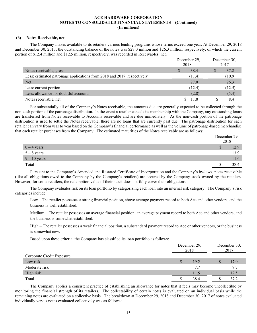#### **(6) Notes Receivable, net**

The Company makes available to its retailers various lending programs whose terms exceed one year. At December 29, 2018 and December 30, 2017, the outstanding balance of the notes was \$27.0 million and \$26.3 million, respectively, of which the current portion of \$12.4 million and \$12.5 million, respectively, was recorded in Receivables, net.

|                                                                         | 2018 | December 29, | December 30,<br>2017 |
|-------------------------------------------------------------------------|------|--------------|----------------------|
| Notes receivable, gross                                                 |      | 38.4         | 37.2                 |
| Less: estimated patronage applications from 2018 and 2017, respectively |      | (11.4)       | (10.9)               |
| <b>Net</b>                                                              |      | 27.0         | 26.3                 |
| Less: current portion                                                   |      | (12.4)       | (12.5)               |
| Less: allowance for doubtful accounts                                   |      | (2.8)        | (5.4)                |
| Notes receivable, net                                                   |      | . I . 8      |                      |

For substantially all of the Company's Notes receivable, the amounts due are generally expected to be collected through the non-cash portion of the patronage distribution. In the event a retailer cancels its membership with the Company, any outstanding loans are transferred from Notes receivable to Accounts receivable and are due immediately. As the non-cash portion of the patronage distribution is used to settle the Notes receivable, there are no loans that are currently past due. The patronage distribution for each retailer can vary from year to year based on the Company's financial performance as well as the volume of patronage-based merchandise that each retailer purchases from the Company. The estimated maturities of the Notes receivable are as follows:

|                                        | December 29,<br>2018 |      |  |
|----------------------------------------|----------------------|------|--|
| $0 - 4$ years                          | Φ                    | 12.9 |  |
| $5 - 8$ years<br>9 - 10 years<br>Total |                      | 13.9 |  |
|                                        |                      | 11.6 |  |
|                                        |                      | 38.4 |  |

Pursuant to the Company's Amended and Restated Certificate of Incorporation and the Company's by-laws, notes receivable (like all obligations owed to the Company by the Company's retailers) are secured by the Company stock owned by the retailers. However, for some retailers, the redemption value of their stock does not fully cover their obligations.

The Company evaluates risk on its loan portfolio by categorizing each loan into an internal risk category. The Company's risk categories include:

Low – The retailer possesses a strong financial position, above average payment record to both Ace and other vendors, and the business is well established.

Medium – The retailer possesses an average financial position, an average payment record to both Ace and other vendors, and the business is somewhat established.

High – The retailer possesses a weak financial position, a substandard payment record to Ace or other vendors, or the business is somewhat new.

Based upon these criteria, the Company has classified its loan portfolio as follows:

|                            | December 29,<br>2018 |   | December 30,<br>2017 |
|----------------------------|----------------------|---|----------------------|
| Corporate Credit Exposure: |                      |   |                      |
| Low risk                   | 19.2                 | D | 17.0                 |
| Moderate risk              | 7.7                  |   | 7.7                  |
| High risk                  | 11.5                 |   | 12.5                 |
| Total                      | 38.4                 |   | 37.2                 |

The Company applies a consistent practice of establishing an allowance for notes that it feels may become uncollectible by monitoring the financial strength of its retailers. The collectability of certain notes is evaluated on an individual basis while the remaining notes are evaluated on a collective basis. The breakdown at December 29, 2018 and December 30, 2017 of notes evaluated individually versus notes evaluated collectively was as follows: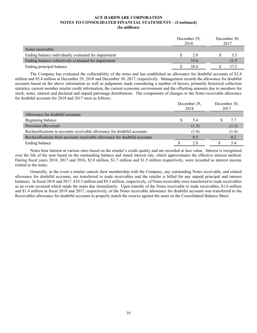|                                                      | December 29,<br>2018 | December 30,<br>2017 |
|------------------------------------------------------|----------------------|----------------------|
| Notes receivable:                                    |                      |                      |
| Ending balance individually evaluated for impairment | 2.8                  | 5.3                  |
| Ending balance collectively evaluated for impairment | 35.6                 | 31.9                 |
| Ending principal balance                             | 38.4                 | 37.2                 |

The Company has evaluated the collectability of the notes and has established an allowance for doubtful accounts of \$2.8 million and \$5.4 million at December 29, 2018 and December 30, 2017, respectively. Management records the allowance for doubtful accounts based on the above information as well as judgments made considering a number of factors, primarily historical collection statistics, current member retailer credit information, the current economic environment and the offsetting amounts due to members for stock, notes, interest and declared and unpaid patronage distributions. The components of changes to the Notes receivable allowance for doubtful accounts for 2018 and 2017 were as follows:

|                                                                            | December 29,<br>2018 | December 30,<br>2017 |
|----------------------------------------------------------------------------|----------------------|----------------------|
| Allowance for doubtful accounts:                                           |                      |                      |
| Beginning balance                                                          | 5.4                  | 7.7                  |
| Provision (Reversal)                                                       | (1.5)                | (1.1)                |
| Reclassifications to accounts receivable allowance for doubtful accounts   | (1.6)                | (1.4)                |
| Reclassifications from accounts receivable allowance for doubtful accounts | 0.5                  | 0.2                  |
| Ending balance                                                             | 2.8                  |                      |

Notes bear interest at various rates based on the retailer's credit quality and are recorded at face value. Interest is recognized over the life of the note based on the outstanding balance and stated interest rate, which approximates the effective interest method. During fiscal years 2018, 2017 and 2016, \$2.0 million, \$1.7 million and \$1.5 million respectively, were recorded as interest income related to the notes.

Generally, in the event a retailer cancels their membership with the Company, any outstanding Notes receivable, and related allowance for doubtful accounts, are transferred to trade receivables and the retailer is billed for any unpaid principal and interest balances. In fiscal 2018 and 2017, \$10.3 million and \$9.3 million, respectively, of Notes receivable were transferred to trade receivables as an event occurred which made the notes due immediately. Upon transfer of the Notes receivable to trade receivables, \$1.6 million and \$1.4 million in fiscal 2018 and 2017, respectively, of the Notes receivable allowance for doubtful accounts was transferred to the Receivables allowance for doubtful accounts to properly match the reserve against the asset on the Consolidated Balance Sheet.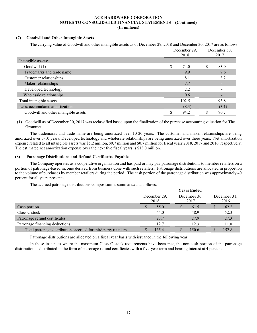## **(7) Goodwill and Other Intangible Assets**

December 29, 2018 December 30, 2017 Intangible assets: Goodwill (1) 5 74.0 \$ 83.0 Trademarks and trade name 6. The state of the state of the state of the state of the state of the state of the state of the state of the state of the state of the state of the state of the state of the state of the state o

The carrying value of Goodwill and other intangible assets as of December 29, 2018 and December 30, 2017 are as follows:

| Customer relationships               | 8.1   | 3.2   |
|--------------------------------------|-------|-------|
| Maker relationships                  | 7.7   |       |
| Developed technology                 | 2.2   |       |
| Wholesale relationships              | 0.6   |       |
| Total intangible assets              | 102.5 | 93.8  |
| Less: accumulated amortization       | (8.3) | (3.1) |
| Goodwill and other intangible assets | 94.2  | 90.7  |

(1) Goodwill as of December 30, 2017 was reclassified based upon the finalization of the purchase accounting valuation for The Grommet.

The trademarks and trade name are being amortized over 10-20 years. The customer and maker relationships are being amortized over 3-10 years. Developed technology and wholesale relationships are being amortized over three years. Net amortization expense related to all intangible assets was \$5.2 million, \$0.7 million and \$0.7 million for fiscal years 2018, 2017 and 2016, respectively. The estimated net amortization expense over the next five fiscal years is \$13.0 million.

## **(8) Patronage Distributions and Refund Certificates Payable**

The Company operates as a cooperative organization and has paid or may pay patronage distributions to member retailers on a portion of patronage-based income derived from business done with such retailers. Patronage distributions are allocated in proportion to the volume of purchases by member retailers during the period. The cash portion of the patronage distribution was approximately 40 percent for all years presented.

The accrued patronage distributions composition is summarized as follows:

|                                                                 | <b>Years Ended</b>   |       |  |       |                      |       |                      |  |
|-----------------------------------------------------------------|----------------------|-------|--|-------|----------------------|-------|----------------------|--|
|                                                                 | December 29,<br>2018 |       |  |       | December 30,<br>2017 |       | December 31,<br>2016 |  |
| Cash portion                                                    |                      | 55.0  |  | 61.5  |                      | 62.2  |                      |  |
| Class C stock                                                   |                      | 44.0  |  | 48.9  |                      | 52.3  |                      |  |
| Patronage refund certificates                                   |                      | 23.7  |  | 27.9  |                      | 27.3  |                      |  |
| Patronage financing deductions                                  |                      | 12.7  |  | 12.3  |                      | 11.0  |                      |  |
| Total patronage distributions accrued for third party retailers |                      | 135.4 |  | 150.6 |                      | 152.8 |                      |  |

Patronage distributions are allocated on a fiscal year basis with issuance in the following year.

In those instances where the maximum Class C stock requirements have been met, the non-cash portion of the patronage distribution is distributed in the form of patronage refund certificates with a five-year term and bearing interest at 4 percent.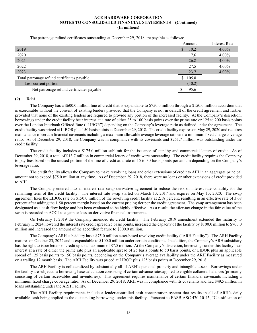The patronage refund certificates outstanding at December 29, 2018 are payable as follows:

|                                             | Amount  | <b>Interest Rate</b> |
|---------------------------------------------|---------|----------------------|
| 2019                                        | 10.2    | $4.00\%$             |
| 2020                                        | 17.6    | 4.00%                |
| 2021                                        | 26.8    | $4.00\%$             |
| 2022                                        | 27.5    | $4.00\%$             |
| 2023                                        | 23.7    | $4.00\%$             |
| Total patronage refund certificates payable | \$105.8 |                      |
| Less current portion                        | (10.2)  |                      |
| Net patronage refund certificates payable   | 95.6    |                      |

#### **(9) Debt**

The Company has a \$600.0 million line of credit that is expandable to \$750.0 million through a \$150.0 million accordion that is exercisable without the consent of existing lenders provided that the Company is not in default of the credit agreement and further provided that none of the existing lenders are required to provide any portion of the increased facility. At the Company's discretion, borrowings under the credit facility bear interest at a rate of either 25 to 100 basis points over the prime rate or 125 to 200 basis points over the London Interbank Offered Rate ("LIBOR") depending on the Company's leverage ratio as defined under the agreement. The credit facility was priced at LIBOR plus 150 basis points at December 29, 2018. The credit facility expires on May 29, 2020 and requires maintenance of certain financial covenants including a maximum allowable average leverage ratio and a minimum fixed charge coverage ratio. As of December 29, 2018, the Company was in compliance with its covenants and \$251.7 million was outstanding under the credit facility.

The credit facility includes a \$175.0 million sublimit for the issuance of standby and commercial letters of credit. As of December 29, 2018, a total of \$13.7 million in commercial letters of credit were outstanding. The credit facility requires the Company to pay fees based on the unused portion of the line of credit at a rate of 15 to 30 basis points per annum depending on the Company's leverage ratio.

The credit facility allows the Company to make revolving loans and other extensions of credit to AIH in an aggregate principal amount not to exceed \$75.0 million at any time. As of December 29, 2018, there were no loans or other extensions of credit provided to AIH.

The Company entered into an interest rate swap derivative agreement to reduce the risk of interest rate volatility for the remaining term of the credit facility. The interest rate swap started on March 13, 2017 and expires on May 13, 2020. The swap agreement fixes the LIBOR rate on \$150.0 million of the revolving credit facility at 2.18 percent, resulting in an effective rate of 3.68 percent after adding the 1.50 percent margin based on the current pricing tier per the credit agreement. The swap arrangement has been designated as a cash flow hedge and has been evaluated to be highly effective. As a result, the after-tax change in the fair value of the swap is recorded in AOCI as a gain or loss on derivative financial instruments.

On February 1, 2019 the Company amended its credit facility. The February 2019 amendment extended the maturity to February 1, 2024, lowered the interest rate credit spread 25 basis points, increased the capacity of the facility by \$100.0 million to \$700.0 million and increased the amount of the accordion feature to \$300.0 million.

The Company's ARH subsidiary has a \$75.0 million asset-based revolving credit facility ("ARH Facility"). The ARH Facility matures on October 23, 2022 and is expandable to \$100.0 million under certain conditions. In addition, the Company's ARH subsidiary has the right to issue letters of credit up to a maximum of \$7.5 million. At the Company's discretion, borrowings under this facility bear interest at a rate of either the prime rate plus an applicable spread of 25 basis points to 50 basis points, or LIBOR plus an applicable spread of 125 basis points to 150 basis points, depending on the Company's average availability under the ARH Facility as measured on a trailing 12 month basis. The ARH Facility was priced at LIBOR plus 125 basis points at December 29, 2018.

The ARH Facility is collateralized by substantially all of ARH's personal property and intangible assets. Borrowings under the facility are subject to a borrowing base calculation consisting of certain advance rates applied to eligible collateral balances (primarily consisting of certain receivables and inventories). This agreement requires maintenance of certain financial covenants including a minimum fixed charge coverage ratio. As of December 29, 2018, ARH was in compliance with its covenants and had \$49.5 million in loans outstanding under the ARH Facility.

The ARH Facility requirements include a lender-controlled cash concentration system that results in all of ARH's daily available cash being applied to the outstanding borrowings under this facility. Pursuant to FASB ASC 470-10-45, "Classification of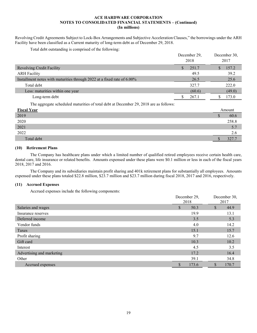Revolving Credit Agreements Subject to Lock-Box Arrangements and Subjective Acceleration Clauses," the borrowings under the ARH Facility have been classified as a Current maturity of long-term debt as of December 29, 2018.

Total debt outstanding is comprised of the following:

|                                                                         | December 29,<br>2018 |        | December 30,<br>2017 |
|-------------------------------------------------------------------------|----------------------|--------|----------------------|
| <b>Revolving Credit Facility</b>                                        |                      | 251.7  | 157.2                |
| <b>ARH</b> Facility                                                     |                      | 49.5   | 39.2                 |
| Installment notes with maturities through 2022 at a fixed rate of 6.00% |                      | 26.5   | 25.6                 |
| Total debt                                                              |                      | 327.7  | 222.0                |
| Less: maturities within one year                                        |                      | (60.6) | (49.0)               |
| Long-term debt                                                          |                      | 267.1  | 173.0                |

The aggregate scheduled maturities of total debt at December 29, 2018 are as follows:

| <b>Fiscal Year</b> | Amount |
|--------------------|--------|
| 2019               | 60.6   |
| 2020               | 258.8  |
| 2021               | 5.7    |
| 2022               | 2.6    |
| Total debt         |        |

## **(10) Retirement Plans**

The Company has healthcare plans under which a limited number of qualified retired employees receive certain health care, dental care, life insurance or related benefits. Amounts expensed under these plans were \$0.1 million or less in each of the fiscal years 2018, 2017 and 2016.

The Company and its subsidiaries maintain profit sharing and 401k retirement plans for substantially all employees. Amounts expensed under these plans totaled \$22.8 million, \$23.7 million and \$23.7 million during fiscal 2018, 2017 and 2016, respectively.

# **(11) Accrued Expenses**

Accrued expenses include the following components:

|                           | December 29,<br>2018 |       |   | December 30,<br>2017 |  |  |
|---------------------------|----------------------|-------|---|----------------------|--|--|
| Salaries and wages        | \$                   | 50.3  | S | 44.9                 |  |  |
| Insurance reserves        |                      | 19.9  |   | 13.1                 |  |  |
| Deferred income           |                      | 3.5   |   | 5.3                  |  |  |
| Vendor funds              |                      | 4.0   |   | 14.2                 |  |  |
| Taxes                     |                      | 15.1  |   | 15.7                 |  |  |
| Profit sharing            |                      | 9.7   |   | 12.6                 |  |  |
| Gift card                 |                      | 10.3  |   | 10.2                 |  |  |
| Interest                  |                      | 4.5   |   | 3.5                  |  |  |
| Advertising and marketing |                      | 17.2  |   | 16.4                 |  |  |
| Other                     |                      | 39.1  |   | 34.8                 |  |  |
| Accrued expenses          |                      | 173.6 | S | 170.7                |  |  |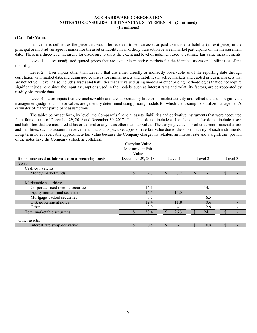#### **(12) Fair Value**

Fair value is defined as the price that would be received to sell an asset or paid to transfer a liability (an exit price) in the principal or most advantageous market for the asset or liability in an orderly transaction between market participants on the measurement date. There is a three-level hierarchy for disclosure to show the extent and level of judgment used to estimate fair value measurements.

Level 1 – Uses unadjusted quoted prices that are available in active markets for the identical assets or liabilities as of the reporting date.

Level 2 – Uses inputs other than Level 1 that are either directly or indirectly observable as of the reporting date through correlation with market data, including quoted prices for similar assets and liabilities in active markets and quoted prices in markets that are not active. Level 2 also includes assets and liabilities that are valued using models or other pricing methodologies that do not require significant judgment since the input assumptions used in the models, such as interest rates and volatility factors, are corroborated by readily observable data.

Level 3 – Uses inputs that are unobservable and are supported by little or no market activity and reflect the use of significant management judgment. These values are generally determined using pricing models for which the assumptions utilize management's estimates of market participant assumptions.

The tables below set forth, by level, the Company's financial assets, liabilities and derivative instruments that were accounted for at fair value as of December 29, 2018 and December 30, 2017. The tables do not include cash on hand and also do not include assets and liabilities that are measured at historical cost or any basis other than fair value. The carrying values for other current financial assets and liabilities, such as accounts receivable and accounts payable, approximate fair value due to the short maturity of such instruments. Long-term notes receivable approximate fair value because the Company charges its retailers an interest rate and a significant portion of the notes have the Company's stock as collateral.

| Carrying Value<br>Measured at Fair<br>Value |      |                   |                          |               |      |              |         |
|---------------------------------------------|------|-------------------|--------------------------|---------------|------|--------------|---------|
|                                             |      |                   |                          |               |      |              |         |
|                                             |      |                   |                          |               |      |              |         |
|                                             |      |                   |                          |               |      |              |         |
| \$                                          | 7.7  | S.                | 7.7                      | $\mathcal{S}$ |      | $\mathbb{S}$ |         |
|                                             |      |                   |                          |               |      |              |         |
|                                             |      |                   |                          |               |      |              |         |
|                                             | 14.1 |                   |                          |               | 14.1 |              |         |
|                                             | 14.5 |                   | 14.5                     |               |      |              |         |
|                                             | 6.5  |                   |                          |               | 6.5  |              |         |
|                                             | 12.4 |                   | 11.8                     |               | 0.6  |              |         |
|                                             | 2.9  |                   | $\overline{\phantom{a}}$ |               | 2.9  |              |         |
|                                             | 50.4 |                   | 26.3                     |               | 24.1 |              |         |
|                                             |      |                   |                          |               |      |              |         |
| \$                                          | 0.8  | \$                |                          | $\mathbb{S}$  | 0.8  | $\mathbb{S}$ |         |
|                                             |      | December 29, 2018 |                          | Level 1       |      | Level 2      | Level 3 |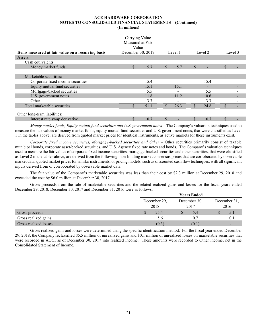| Items measured at fair value on a recurring basis | Carrying Value<br>Measured at Fair<br>Value<br>December 30, 2017<br>Level 1 |      |              |      |               | Level 2 |               | Level 3 |
|---------------------------------------------------|-----------------------------------------------------------------------------|------|--------------|------|---------------|---------|---------------|---------|
| Assets:                                           |                                                                             |      |              |      |               |         |               |         |
| Cash equivalents:                                 |                                                                             |      |              |      |               |         |               |         |
| Money market funds                                | \$                                                                          | 5.7  | $\mathbb{S}$ | 5.7  | $\mathbb{S}$  | -       | $\mathbb{S}$  | -       |
|                                                   |                                                                             |      |              |      |               |         |               |         |
| Marketable securities:                            |                                                                             |      |              |      |               |         |               |         |
| Corporate fixed income securities                 |                                                                             | 15.4 |              |      |               | 15.4    |               |         |
| Equity mutual fund securities                     |                                                                             | 15.1 |              | 15.1 |               |         |               |         |
| Mortgage-backed securities                        |                                                                             | 5.5  |              |      |               | 5.5     |               |         |
| U.S. government notes                             |                                                                             | 11.8 |              | 11.2 |               | 0.6     |               |         |
| Other                                             |                                                                             | 3.3  |              |      |               | 3.3     |               |         |
| Total marketable securities                       |                                                                             | 51.1 |              | 26.3 | $\mathbb{S}$  | 24.8    |               |         |
| Other long-term liabilities:                      |                                                                             |      |              |      |               |         |               |         |
| Interest rate swap derivative                     | \$                                                                          | 0.7  | \$           |      | $\mathcal{S}$ | 0.7     | <sup>\$</sup> |         |

*Money market funds, Equity mutual fund securities and U.S. government notes* – The Company's valuation techniques used to measure the fair values of money market funds, equity mutual fund securities and U.S. government notes, that were classified as Level 1 in the tables above, are derived from quoted market prices for identical instruments, as active markets for these instruments exist.

*Corporate fixed income securities, Mortgage-backed securities and Other* – Other securities primarily consist of taxable municipal bonds, corporate asset-backed securities, and U.S. Agency fixed rate notes and bonds. The Company's valuation techniques used to measure the fair values of corporate fixed income securities, mortgage-backed securities and other securities, that were classified as Level 2 in the tables above, are derived from the following: non-binding market consensus prices that are corroborated by observable market data, quoted market prices for similar instruments, or pricing models, such as discounted cash flow techniques, with all significant inputs derived from or corroborated by observable market data.

The fair value of the Company's marketable securities was less than their cost by \$2.3 million at December 29, 2018 and exceeded the cost by \$6.0 million at December 30, 2017.

Gross proceeds from the sale of marketable securities and the related realized gains and losses for the fiscal years ended December 29, 2018, December 30, 2017 and December 31, 2016 were as follows:

|                       | <b>Years Ended</b>   |  |                      |  |                      |
|-----------------------|----------------------|--|----------------------|--|----------------------|
|                       | December 29,<br>2018 |  | December 30,<br>2017 |  | December 31,<br>2016 |
| Gross proceeds        | 25.4                 |  | 5.4                  |  | 5.1                  |
| Gross realized gains  | 5.6                  |  | 0.7                  |  | 0.1                  |
| Gross realized losses | (0.3)                |  | (0.1)                |  |                      |

Gross realized gains and losses were determined using the specific identification method. For the fiscal year ended December 29, 2018, the Company reclassified \$5.5 million of unrealized gains and \$0.1 million of unrealized losses on marketable securities that were recorded in AOCI as of December 30, 2017 into realized income. These amounts were recorded to Other income, net in the Consolidated Statement of Income.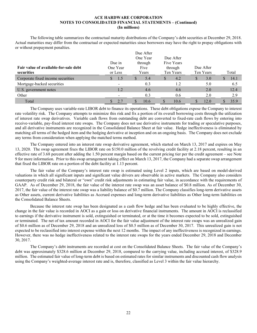The following table summarizes the contractual maturity distributions of the Company's debt securities at December 29, 2018. Actual maturities may differ from the contractual or expected maturities since borrowers may have the right to prepay obligations with or without prepayment penalties.

|                                       |                | Due After |            |           |             |
|---------------------------------------|----------------|-----------|------------|-----------|-------------|
|                                       |                | One Year  | Due After  |           |             |
|                                       | Due in         | through   | Five Years |           |             |
| Fair value of available-for-sale debt | One Year       | Five      | through    | Due After |             |
| securities                            | or Less        | Years     | Ten Years  | Ten Years | Total       |
| Corporate fixed income securities     | 1.5            | 5.4<br>S  | 4.2<br>S   | 3.0<br>S  | 14.1<br>\$. |
| Mortgage-backed securities            | $\blacksquare$ | 0.3       | 1.2        | 5.0       | 6.5         |
| U.S. government notes                 | 1.2            | 4.6       | 4.6        | 2.0       | 12.4        |
| Other                                 | -              | 0.3       | 0.6        | 2.0       | 2.9         |
| Total                                 |                | 10.6      | 10.6       | 12.0      | 35.9        |

The Company uses variable-rate LIBOR debt to finance its operations. These debt obligations expose the Company to interest rate volatility risk. The Company attempts to minimize this risk and fix a portion of its overall borrowing costs through the utilization of interest rate swap derivatives. Variable cash flows from outstanding debt are converted to fixed-rate cash flows by entering into receive-variable, pay-fixed interest rate swaps. The Company does not use derivative instruments for trading or speculative purposes, and all derivative instruments are recognized in the Consolidated Balance Sheet at fair value. Hedge ineffectiveness is eliminated by matching all terms of the hedged item and the hedging derivative at inception and on an ongoing basis. The Company does not exclude any terms from consideration when applying the matched terms method.

The Company entered into an interest rate swap derivative agreement, which started on March 13, 2017 and expires on May 13, 2020. The swap agreement fixes the LIBOR rate on \$150.0 million of the revolving credit facility at 2.18 percent, resulting in an effective rate of 3.68 percent after adding the 1.50 percent margin based on the current pricing tier per the credit agreement – see Note 9 for more information. Prior to this swap arrangement taking effect on March 13, 2017, the Company had a separate swap arrangement that fixed the LIBOR rate on a portion of the debt facility at 1.13 percent.

The fair value of the Company's interest rate swap is estimated using Level 2 inputs, which are based on model-derived valuations in which all significant inputs and significant value drivers are observable in active markets. The Company also considers counterparty credit risk and bilateral or "own" credit risk adjustments in estimating fair value, in accordance with the requirements of GAAP. As of December 29, 2018, the fair value of the interest rate swap was an asset balance of \$0.8 million. As of December 30, 2017, the fair value of the interest rate swap was a liability balance of \$0.7 million. The Company classifies long-term derivative assets as Other assets, current derivative liabilities as Accrued expenses and long-term derivative liabilities as Other long-term liabilities on the Consolidated Balance Sheets.

Because the interest rate swap has been designated as a cash flow hedge and has been evaluated to be highly effective, the change in the fair value is recorded in AOCI as a gain or loss on derivative financial instruments. The amount in AOCI is reclassified to earnings if the derivative instrument is sold, extinguished or terminated, or at the time it becomes expected to be sold, extinguished or terminated. The net of tax amount recorded in AOCI for the fair value adjustment of the interest rate swaps was an unrealized gain of \$0.6 million as of December 29, 2018 and an unrealized loss of \$0.5 million as of December 30, 2017. This unrealized gain is not expected to be reclassified into interest expense within the next 12 months. The impact of any ineffectiveness is recognized in earnings. However, there was no hedge ineffectiveness related to the interest rate swaps for the years ended December 29, 2018 and December 30, 2017.

The Company's debt instruments are recorded at cost on the Consolidated Balance Sheets. The fair value of the Company's debt was approximately \$328.6 million at December 29, 2018, compared to the carrying value, including accrued interest, of \$328.9 million. The estimated fair value of long-term debt is based on estimated rates for similar instruments and discounted cash flow analysis using the Company's weighted-average interest rate and is, therefore, classified as Level 3 within the fair value hierarchy.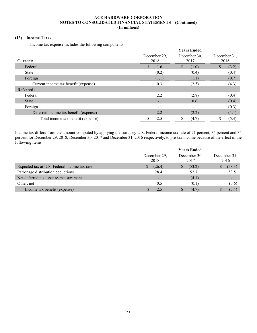# **(13) Income Taxes**

Income tax expense includes the following components:

|                                       | <b>Years Ended</b>       |                      |             |  |  |  |
|---------------------------------------|--------------------------|----------------------|-------------|--|--|--|
| Current:                              | December 29,<br>2018     | December 30,<br>2017 |             |  |  |  |
| Federal                               | <sup>\$</sup><br>1.6     | \$<br>(1.0)          | \$<br>(3.2) |  |  |  |
| <b>State</b>                          | (0.2)                    | (0.4)                | (0.4)       |  |  |  |
| Foreign                               | (1.1)                    | (1.1)                | (0.7)       |  |  |  |
| Current income tax benefit (expense)  | 0.3                      | (2.5)                | (4.3)       |  |  |  |
| Deferred:                             |                          |                      |             |  |  |  |
| Federal                               | 2.2                      | (2.8)                | (0.4)       |  |  |  |
| <b>State</b>                          | $\overline{\phantom{0}}$ | 0.6                  | (0.4)       |  |  |  |
| Foreign                               |                          |                      | (0.3)       |  |  |  |
| Deferred income tax benefit (expense) | 2.2                      | (2.2)                | (1.1)       |  |  |  |
| Total income tax benefit (expense)    | 2.5                      | (4.7)                | (5.4)       |  |  |  |

Income tax differs from the amount computed by applying the statutory U.S. Federal income tax rate of 21 percent, 35 percent and 35 percent for December 29, 2018, December 30, 2017 and December 31, 2016 respectively, to pre-tax income because of the effect of the following items:

|                                              |                      | <b>Years Ended</b>   |                      |  |
|----------------------------------------------|----------------------|----------------------|----------------------|--|
|                                              | December 29,<br>2018 | December 30,<br>2017 | December 31,<br>2016 |  |
| Expected tax at U.S. Federal income tax rate | (26.4)               | (53.2)               | (58.3)               |  |
| Patronage distribution deductions            | 28.4                 | 52.7                 | 53.5                 |  |
| Net deferred tax asset re-measurement        |                      | (4.1)                |                      |  |
| Other, net                                   | 0.5                  | (0.1)                | (0.6)                |  |
| Income tax benefit (expense)                 | 2.5                  | (4.7)                | (5.4)                |  |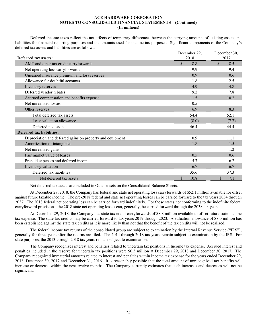Deferred income taxes reflect the tax effects of temporary differences between the carrying amounts of existing assets and liabilities for financial reporting purposes and the amounts used for income tax purposes. Significant components of the Company's deferred tax assets and liabilities are as follows:

| Deferred tax assets:                                      | December 29,<br>2018      | December 30,<br>2017 |
|-----------------------------------------------------------|---------------------------|----------------------|
| AMT and other tax credit carryforwards                    | $\mathbf{\hat{S}}$<br>8.8 | $\mathcal{S}$<br>8.5 |
| Net operating loss carryforwards                          | 9.9                       | 9.4                  |
| Unearned insurance premium and loss reserves              | 0.9                       | 0.6                  |
| Allowance for doubtful accounts                           | 1.8                       | 2.5                  |
| Inventory reserves                                        | 4.9                       | 4.8                  |
| Deferred vendor rebates                                   | 9.2                       | 7.8                  |
| Accrued compensation and benefits expense                 | 11.5                      | 10.2                 |
| Net unrealized losses                                     | 0.5                       |                      |
| Other reserves                                            | 6.9                       | 8.3                  |
| Total deferred tax assets                                 | 54.4                      | 52.1                 |
| Less: valuation allowance                                 | (8.0)                     | (7.7)                |
| Deferred tax assets                                       | 46.4                      | 44.4                 |
| <b>Deferred tax liabilities:</b>                          |                           |                      |
| Depreciation and deferred gains on property and equipment | 10.9                      | 11.1                 |
| Amortization of intangibles                               | 1.8                       | 1.5                  |
| Net unrealized gains                                      |                           | 1.2                  |
| Fair market value of leases                               | 0.5                       | 0.6                  |
| Prepaid expenses and deferred income                      | 5.7                       | 6.2                  |
| Inventory valuation                                       | 16.7                      | 16.7                 |
| Deferred tax liabilities                                  | 35.6                      | 37.3                 |
| Net deferred tax assets                                   | \$<br>10.8                | $\mathbb{S}$<br>7.1  |

Net deferred tax assets are included in Other assets on the Consolidated Balance Sheets.

At December 29, 2018, the Company has federal and state net operating loss carryforwards of \$52.1 million available for offset against future taxable income. The pre-2018 federal and state net operating losses can be carried forward to the tax years 2034 through 2037. The 2018 federal net operating loss can be carried forward indefinitely. For those states not conforming to the indefinite federal carryforward provisions, the 2018 state net operating losses can, generally, be carried forward through the 2038 tax year.

At December 29, 2018, the Company has state tax credit carryforwards of \$8.8 million available to offset future state income tax expense. The state tax credits may be carried forward to tax years 2019 through 2023. A valuation allowance of \$8.0 million has been established against the state tax credits as it is more likely than not that the benefit of the tax credits will not be realized.

The federal income tax returns of the consolidated group are subject to examination by the Internal Revenue Service ("IRS"), generally for three years after the returns are filed. The 2014 through 2018 tax years remain subject to examination by the IRS. For state purposes, the 2013 through 2018 tax years remain subject to examination.

The Company recognizes interest and penalties related to uncertain tax positions in Income tax expense. Accrued interest and penalties included in the reserve for uncertain tax positions were \$0.3 million at December 29, 2018 and December 30, 2017. The Company recognized immaterial amounts related to interest and penalties within Income tax expense for the years ended December 29, 2018, December 30, 2017 and December 31, 2016. It is reasonably possible that the total amount of unrecognized tax benefits will increase or decrease within the next twelve months. The Company currently estimates that such increases and decreases will not be significant.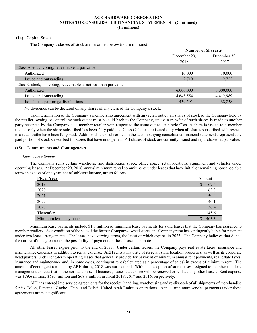## **(14) Capital Stock**

The Company's classes of stock are described below (not in millions):

|                                                                  |              | <b>Number of Shares at</b> |
|------------------------------------------------------------------|--------------|----------------------------|
|                                                                  | December 29, | December 30,               |
|                                                                  | 2018         | 2017                       |
| Class A stock, voting, redeemable at par value:                  |              |                            |
| Authorized                                                       | 10.000       | 10,000                     |
| Issued and outstanding                                           | 2,719        | 2,722                      |
| Class C stock, nonvoting, redeemable at not less than par value: |              |                            |
| Authorized                                                       | 6,000,000    | 6,000,000                  |
| Issued and outstanding                                           | 4,648,554    | 4,412,989                  |
| Issuable as patronage distributions                              | 439,591      | 488,858                    |

No dividends can be declared on any shares of any class of the Company's stock.

Upon termination of the Company's membership agreement with any retail outlet, all shares of stock of the Company held by the retailer owning or controlling such outlet must be sold back to the Company, unless a transfer of such shares is made to another party accepted by the Company as a member retailer with respect to the same outlet. A single Class A share is issued to a member retailer only when the share subscribed has been fully paid and Class C shares are issued only when all shares subscribed with respect to a retail outlet have been fully paid. Additional stock subscribed in the accompanying consolidated financial statements represents the paid portion of stock subscribed for stores that have not opened. All shares of stock are currently issued and repurchased at par value.

## **(15) Commitments and Contingencies**

#### *Lease commitments*

The Company rents certain warehouse and distribution space, office space, retail locations, equipment and vehicles under operating leases. At December 29, 2018, annual minimum rental commitments under leases that have initial or remaining noncancelable terms in excess of one year, net of sublease income, are as follows:

| <b>Fiscal Year</b>     | Amount     |
|------------------------|------------|
| 2019                   | 67.5<br>\$ |
| 2020                   | 63.3       |
| 2021                   | 50.4       |
| 2022                   | 40.1       |
| 2023                   | 36.4       |
| Thereafter             | 145.6      |
| Minimum lease payments | 403.3      |

Minimum lease payments include \$1.8 million of minimum lease payments for store leases that the Company has assigned to member retailers. As a condition of the sale of the former Company-owned stores, the Company remains contingently liable for payment under two lease arrangements. The leases have varying terms, the latest of which expires in 2023. The Company believes that due to the nature of the agreements, the possibility of payment on these leases is remote.

All other leases expire prior to the end of 2033. Under certain leases, the Company pays real estate taxes, insurance and maintenance expenses in addition to rental expense. ARH rents a majority of its retail store location properties, as well as its corporate headquarters, under long-term operating leases that generally provide for payment of minimum annual rent payments, real estate taxes, insurance and maintenance and, in some cases, contingent rent (calculated as a percentage of sales) in excess of minimum rent. The amount of contingent rent paid by ARH during 2018 was not material. With the exception of store leases assigned to member retailers, management expects that in the normal course of business, leases that expire will be renewed or replaced by other leases. Rent expense was \$79.6 million, \$69.4 million and \$68.8 million in fiscal 2018, 2017 and 2016, respectively.

AIH has entered into service agreements for the receipt, handling, warehousing and re-dispatch of all shipments of merchandise for its Colon, Panama, Ningbo, China and Dubai, United Arab Emirates operations. Annual minimum service payments under these agreements are not significant.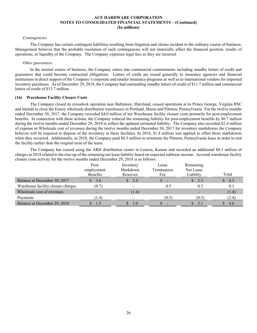#### *Contingencies*

The Company has certain contingent liabilities resulting from litigation and claims incident to the ordinary course of business. Management believes that the probable resolution of such contingencies will not materially affect the financial position, results of operations, or liquidity of the Company. The Company expenses legal fees as they are incurred.

## *Other guarantees*

In the normal course of business, the Company enters into commercial commitments including standby letters of credit and guarantees that could become contractual obligations. Letters of credit are issued generally to insurance agencies and financial institutions in direct support of the Company's corporate and retailer insurance programs as well as to international vendors for imported inventory purchases. As of December 29, 2018, the Company had outstanding standby letters of credit of \$11.7 million and commercial letters of credit of \$13.7 million.

## **(16) Warehouse Facility Closure Costs**

The Company closed its crossdock operation near Baltimore, Maryland, ceased operations at its Prince George, Virginia RSC and intends to close the Emery wholesale distribution warehouses in Portland, Maine and Pittston, Pennsylvania. For the twelve months ended December 30, 2017, the Company recorded \$4.0 million of net Warehouse facility closure costs primarily for post-employment benefits. In connection with these actions, the Company reduced the remaining liability for post-employment benefits by \$0.7 million during the twelve months ended December 29, 2018 to reflect the updated estimated liability. The Company also recorded \$2.4 million of expense in Wholesale cost of revenues during the twelve months ended December 30, 2017 for inventory markdowns the Company believes will be required to dispose of the inventory in these facilities. In 2018, \$1.4 million was applied to offset these markdowns when they occurred. Additionally, in 2018, the Company paid \$0.5 million to terminate the Pittston, Pennsylvania lease in order to exit the facility earlier than the original term of the lease.

The Company has ceased using the ARH distribution center in Lenexa, Kansas and recorded an additional \$0.3 million of charges in 2018 related to the true-up of the remaining net lease liability based on expected sublease income. Accrued warehouse facility closure costs activity for the twelve months ended December 29, 2018 is as follows:

|                                    | Post-<br>employment<br><b>Benefits</b> | Inventory<br>Markdown<br>Reserves | Lease<br>Termination<br>Fee | Remaining<br>Net Lease<br>Liability | Total |
|------------------------------------|----------------------------------------|-----------------------------------|-----------------------------|-------------------------------------|-------|
| Balance at December 30, 2017       | 3.6                                    | $\frac{1}{2}$ 2.4                 |                             | 2.3                                 | 8.3   |
| Warehouse facility closure charges | (0.7)                                  |                                   | 0.5                         | 0.3                                 | 0.1   |
| Wholesale cost of revenues         |                                        | (1.4)                             |                             | $\overline{\phantom{0}}$            | (1.4) |
| Payments                           | (1.4)                                  |                                   | (0.5)                       | (0.5)                               | (2.4) |
| Balance at December 29, 2018       | 1.5                                    | 1.0                               |                             | 2.1                                 | 4.6   |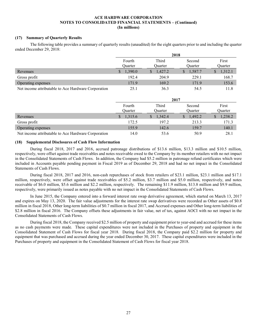## **(17) Summary of Quarterly Results**

The following table provides a summary of quarterly results (unaudited) for the eight quarters prior to and including the quarter ended December 29, 2018:

|                                                     | 2018              |                         |                          |                  |  |  |
|-----------------------------------------------------|-------------------|-------------------------|--------------------------|------------------|--|--|
|                                                     | Fourth<br>Ouarter | Third<br><b>Ouarter</b> | Second<br><b>Ouarter</b> | First<br>Quarter |  |  |
| Revenues                                            | 1,390.0           | 1,427.2                 | 1,587.7                  | 1,312.1          |  |  |
| Gross profit                                        | 192.4             | 204.9                   | 229.1                    | 168.7            |  |  |
| Operating expenses                                  | 171.9             | 169.2                   | 171.9                    | 153.6            |  |  |
| Net income attributable to Ace Hardware Corporation | 25.1              | 36.3                    | 54.5                     | 11.8             |  |  |

|                                                     | 2017              |                         |                          |                  |  |  |
|-----------------------------------------------------|-------------------|-------------------------|--------------------------|------------------|--|--|
|                                                     | Fourth<br>Quarter | Third<br><b>Ouarter</b> | Second<br><b>Ouarter</b> | First<br>Quarter |  |  |
| Revenues                                            | 1,315.6           | 1,342.4                 | 1,492.2                  | 1,238.2          |  |  |
| Gross profit                                        | 172.5             | 197.2                   | 213.3                    | 171.3            |  |  |
| Operating expenses                                  | 155.9             | 142.6                   | 159.7                    | 140.1            |  |  |
| Net income attributable to Ace Hardware Corporation | 14.0              | 53.6                    | 50.9                     | 28.1             |  |  |

#### **(18) Supplemental Disclosures of Cash Flow Information**

During fiscal 2018, 2017 and 2016, accrued patronage distributions of \$13.6 million, \$13.3 million and \$10.5 million, respectively, were offset against trade receivables and notes receivable owed to the Company by its member retailers with no net impact in the Consolidated Statements of Cash Flows. In addition, the Company had \$5.2 million in patronage refund certificates which were included in Accounts payable pending payment in Fiscal 2019 as of December 29, 2018 and had no net impact in the Consolidated Statements of Cash Flows.

During fiscal 2018, 2017 and 2016, non-cash repurchases of stock from retailers of \$23.1 million, \$23.1 million and \$17.1 million, respectively, were offset against trade receivables of \$5.2 million, \$3.7 million and \$5.0 million, respectively, and notes receivable of \$6.0 million, \$5.6 million and \$2.2 million, respectively. The remaining \$11.9 million, \$13.8 million and \$9.9 million, respectively, were primarily issued as notes payable with no net impact in the Consolidated Statements of Cash Flows.

In June 2015, the Company entered into a forward interest rate swap derivative agreement, which started on March 13, 2017 and expires on May 13, 2020. The fair value adjustments for the interest rate swap derivatives were recorded as Other assets of \$0.8 million in fiscal 2018, Other long-term liabilities of \$0.7 million in fiscal 2017, and Accrued expenses and Other long-term liabilities of \$2.8 million in fiscal 2016. The Company offsets these adjustments in fair value, net of tax, against AOCI with no net impact in the Consolidated Statements of Cash Flows.

During fiscal 2018, the Company received \$2.5 million of property and equipment prior to year-end and accrued for these items as no cash payments were made. These capital expenditures were not included in the Purchases of property and equipment in the Consolidated Statement of Cash Flows for fiscal year 2018. During fiscal 2018, the Company paid \$2.2 million for property and equipment that was purchased and accrued during the year ended December 30, 2017. These capital expenditures were included in the Purchases of property and equipment in the Consolidated Statement of Cash Flows for fiscal year 2018.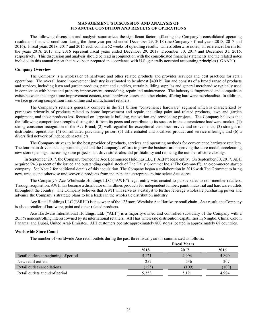## **MANAGEMENT'S DISCUSSION AND ANALYSIS OF FINANCIAL CONDITION AND RESULTS OF OPERATIONS**

The following discussion and analysis summarizes the significant factors affecting the Company's consolidated operating results and financial condition during the three-year period ended December 29, 2018 (the Company's fiscal years 2018, 2017 and 2016). Fiscal years 2018, 2017 and 2016 each contain 52 weeks of operating results. Unless otherwise noted, all references herein for the years 2018, 2017 and 2016 represent fiscal years ended December 29, 2018, December 30, 2017 and December 31, 2016, respectively. This discussion and analysis should be read in conjunction with the consolidated financial statements and the related notes included in this annual report that have been prepared in accordance with U.S. generally accepted accounting principles ("GAAP").

## **Company Overview**

The Company is a wholesaler of hardware and other related products and provides services and best practices for retail operations. The overall home improvement industry is estimated to be almost \$400 billion and consists of a broad range of products and services, including lawn and garden products, paint and sundries, certain building supplies and general merchandise typically used in connection with home and property improvement, remodeling, repair and maintenance. The industry is fragmented and competition exists between the large home improvement centers, retail hardware stores and other chains offering hardware merchandise. In addition, we face growing competition from online and multichannel retailers.

The Company's retailers generally compete in the \$51 billion "convenience hardware" segment which is characterized by purchases primarily of products related to home improvement and repair, including paint and related products, lawn and garden equipment, and those products less focused on large-scale building, renovation and remodeling projects. The Company believes that the following competitive strengths distinguish it from its peers and contribute to its success in the convenience hardware market: (1) strong consumer recognition of the Ace Brand; (2) well-regarded for exceptional customer service and convenience; (3) strength of distribution operations; (4) consolidated purchasing power; (5) differentiated and localized product and service offerings; and (6) a diversified network of independent retailers.

The Company strives to be the best provider of products, services and operating methods for convenience hardware retailers. The four main drivers that support that goal and the Company's efforts to grow the business are improving the store model, accelerating new store openings, increasing store projects that drive store sales and profitability and reducing the number of store closings.

In September 2017, the Company formed the Ace Ecommerce Holdings LLC ("AEH") legal entity. On September 30, 2017, AEH acquired 94.3 percent of the issued and outstanding capital stock of The Daily Grommet Inc. ("The Grommet"), an e-commerce startup company. See Note 2 for additional details of this acquisition. The Company began a collaboration in 2016 with The Grommet to bring new, unique and otherwise undiscovered products from independent entrepreneurs into select Ace stores.

The Company's Ace Wholesale Holdings LLC ("AWH") legal entity was created to pursue sales to non-member retailers. Through acquisition, AWH has become a distributor of hardlines products for independent lumber, paint, industrial and hardware outlets throughout the country. The Company believes that AWH will serve as a catalyst to further leverage wholesale purchasing power and advance the Company's strategic plans to be a leader in the wholesale distribution industry.

Ace Retail Holdings LLC ("ARH") is the owner of the 123 store Westlake Ace Hardware retail chain. As a result, the Company is also a retailer of hardware, paint and other related products.

Ace Hardware International Holdings, Ltd. ("AIH") is a majority-owned and controlled subsidiary of the Company with a 20.5% noncontrolling interest owned by its international retailers. AIH has wholesale distribution capabilities in Ningbo, China; Colon, Panama; and Dubai, United Arab Emirates. AIH customers operate approximately 800 stores located in approximately 68 countries.

#### **Worldwide Store Count**

The number of worldwide Ace retail outlets during the past three fiscal years is summarized as follows:

|                                       | <b>Fiscal Years</b> |       |       |  |
|---------------------------------------|---------------------|-------|-------|--|
|                                       | 2018                | 2017  | 2016  |  |
| Retail outlets at beginning of period | 5,121               | 4,994 | 4,890 |  |
| New retail outlets                    | 257                 | 236   | 207   |  |
| Retail outlet cancellations           | (125)               | (109) | (103) |  |
| Retail outlets at end of period       | 5.253               | 5.121 | 4.994 |  |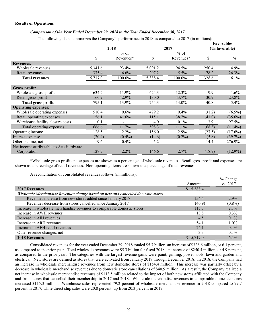# **Results of Operations**

# *Comparison of the Year Ended December 29, 2018 to the Year Ended December 30, 2017*

The following data summarizes the Company's performance in 2018 as compared to 2017 (in millions):

|                                         |         |           |         |                          | Favorable/ |               |
|-----------------------------------------|---------|-----------|---------|--------------------------|------------|---------------|
|                                         |         | 2018      |         | 2017                     |            | (Unfavorable) |
|                                         |         | $%$ of    |         | $%$ of                   |            |               |
|                                         | \$      | Revenues* | \$      | Revenues*                | \$         | $\frac{0}{0}$ |
| <b>Revenues:</b>                        |         |           |         |                          |            |               |
| Wholesale revenues                      | 5,341.6 | 93.4%     | 5,091.2 | 94.5%                    | 250.4      | 4.9%          |
| Retail revenues                         | 375.4   | 6.6%      | 297.2   | 5.5%                     | 78.2       | 26.3%         |
| <b>Total revenues</b>                   | 5,717.0 | 100.0%    | 5,388.4 | 100.0%                   | 328.6      | 6.1%          |
|                                         |         |           |         |                          |            |               |
| <b>Gross profit:</b>                    |         |           |         |                          |            |               |
| Wholesale gross profit                  | 634.2   | 11.9%     | 624.3   | 12.3%                    | 9.9        | $1.6\%$       |
| Retail gross profit                     | 160.9   | 42.9%     | 130.0   | 43.7%                    | 30.9       | 23.8%         |
| <b>Total gross profit</b>               | 795.1   | 13.9%     | 754.3   | 14.0%                    | 40.8       | 5.4%          |
| <b>Operating expenses:</b>              |         |           |         |                          |            |               |
| Wholesale operating expenses            | 510.4   | $9.6\%$   | 479.2   | $9.4\%$                  | (31.2)     | $(6.5\%)$     |
| Retail operating expenses               | 156.1   | 41.6%     | 115.1   | 38.7%                    | (41.0)     | $(35.6\%)$    |
| Warehouse facility closure costs        | 0.1     |           | 4.0     | $0.1\%$                  | 3.9        | 97.5%         |
| Total operating expenses                | 666.6   | 11.7%     | 598.3   | 11.1%                    | (68.3)     | $(11.4\%)$    |
| Operating income                        | 128.5   | $2.2\%$   | 156.0   | 2.9%                     | (27.5)     | $(17.6\%)$    |
| Interest expense                        | (20.4)  | $(0.4\%)$ | (14.6)  | $(0.2\%)$                | (5.8)      | $(39.7\%)$    |
| Other income, net                       | 19.6    | $0.4\%$   | 5.2     | $\overline{\phantom{a}}$ | 14.4       | 276.9%        |
| Net income attributable to Ace Hardware |         |           |         |                          |            |               |
| Corporation                             | 127.7   | $2.2\%$   | 146.6   | 2.7%                     | (18.9)     | $(12.9\%)$    |
|                                         |         |           |         |                          |            |               |

\*Wholesale gross profit and expenses are shown as a percentage of wholesale revenues. Retail gross profit and expenses are shown as a percentage of retail revenues. Non-operating items are shown as a percentage of total revenues.

A reconciliation of consolidated revenues follows (in millions):

|                                                                                   |           | % Change  |
|-----------------------------------------------------------------------------------|-----------|-----------|
|                                                                                   | Amount    | vs. 2017  |
| <b>2017 Revenues</b>                                                              | \$5,388.4 |           |
| Wholesale Merchandise Revenues change based on new and cancelled domestic stores: |           |           |
| Revenues increase from new stores added since January 2017                        | 154.4     | $2.9\%$   |
| Revenues decrease from stores cancelled since January 2017                        | (40.9)    | $(0.8\%)$ |
| Increase in wholesale merchandise revenues to comparable domestic stores          | 115.3     | 2.1%      |
| Increase in AWH revenues                                                          | 13.8      | $0.3\%$   |
| Increase in AIH revenues                                                          | 4.5       | $0.1\%$   |
| Increase in ARH revenues                                                          | 54.1      | $1.0\%$   |
| Increase in AEH retail revenues                                                   | 24.1      | $0.4\%$   |
| Other revenue changes, net                                                        | 3.3       | $0.1\%$   |
| 2018 Revenues                                                                     | 5,717.0   | $6.1\%$   |

Consolidated revenues for the year ended December 29, 2018 totaled \$5.7 billion, an increase of \$328.6 million, or 6.1 percent, as compared to the prior year. Total wholesale revenues were \$5.3 billion for fiscal 2018, an increase of \$250.4 million, or 4.9 percent, as compared to the prior year. The categories with the largest revenue gains were paint, grilling, power tools, lawn and garden and electrical. New stores are defined as stores that were activated from January 2017 through December 2018. In 2018, the Company had an increase in wholesale merchandise revenues from new domestic stores of \$154.4 million. This increase was partially offset by a decrease in wholesale merchandise revenues due to domestic store cancellations of \$40.9 million. As a result, the Company realized a net increase in wholesale merchandise revenues of \$113.5 million related to the impact of both new stores affiliated with the Company and from stores that cancelled their membership in 2017 and 2018. Wholesale merchandise revenues to comparable domestic stores increased \$115.3 million. Warehouse sales represented 79.2 percent of wholesale merchandise revenue in 2018 compared to 79.7 percent in 2017, while direct ship sales were 20.8 percent, up from 20.3 percent in 2017.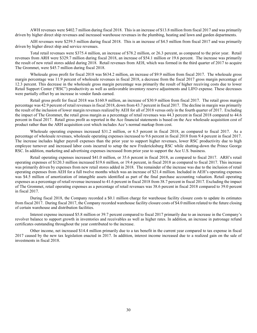AWH revenues were \$402.7 million during fiscal 2018. This is an increase of \$13.8 million from fiscal 2017 and was primarily driven by higher direct ship revenues and increased warehouse revenues in the plumbing, heating and lawn and garden departments.

AIH revenues were \$259.5 million during fiscal 2018. This is an increase of \$4.5 million from fiscal 2017 and was primarily driven by higher direct ship and service revenues.

Total retail revenues were \$375.4 million, an increase of \$78.2 million, or 26.3 percent, as compared to the prior year. Retail revenues from ARH were \$329.7 million during fiscal 2018, an increase of \$54.1 million or 19.6 percent. The increase was primarily the result of new retail stores added during 2018. Retail revenues from AEH, which was formed in the third quarter of 2017 to acquire The Grommet, were \$45.7 million during fiscal 2018.

Wholesale gross profit for fiscal 2018 was \$634.2 million, an increase of \$9.9 million from fiscal 2017. The wholesale gross margin percentage was 11.9 percent of wholesale revenues in fiscal 2018, a decrease from the fiscal 2017 gross margin percentage of 12.3 percent. This decrease in the wholesale gross margin percentage was primarily the result of higher receiving costs due to lower Retail Support Center ("RSC") productivity as well as unfavorable inventory reserve adjustments and LIFO expense. These decreases were partially offset by an increase in vendor funds earned.

Retail gross profit for fiscal 2018 was \$160.9 million, an increase of \$30.9 million from fiscal 2017. The retail gross margin percentage was 42.9 percent of retail revenues in fiscal 2018, down from 43.7 percent in fiscal 2017. The decline in margin was primarily the result of the inclusion of lower margin revenues realized by AEH for all of 2018 versus only in the fourth quarter of 2017. Excluding the impact of The Grommet, the retail gross margin as a percentage of retail revenues was 44.3 percent in fiscal 2018 compared to 44.6 percent in fiscal 2017. Retail gross profit as reported in the Ace financial statements is based on the Ace wholesale acquisition cost of product rather than the ARH acquisition cost which includes Ace's normal markup from cost.

Wholesale operating expenses increased \$31.2 million, or 6.5 percent in fiscal 2018, as compared to fiscal 2017. As a percentage of wholesale revenues, wholesale operating expenses increased to 9.6 percent in fiscal 2018 from 9.4 percent in fiscal 2017. The increase includes higher payroll expenses than the prior year to support higher revenues, lower RSC productivity due to high employee turnover and increased labor costs incurred to setup the new Fredericksburg RSC while shutting-down the Prince George RSC. In addition, marketing and advertising expenses increased from prior year to support the Ace U.S. business.

Retail operating expenses increased \$41.0 million, or 35.6 percent in fiscal 2018, as compared to fiscal 2017. ARH's retail operating expenses of \$120.3 million increased \$19.6 million, or 19.4 percent, in fiscal 2018 as compared to fiscal 2017. This increase was primarily driven by expenses from new retail stores added in 2018. The remainder of the increase was due to the inclusion of retail operating expenses from AEH for a full twelve months which was an increase of \$21.4 million. Included in AEH's operating expenses was \$4.5 million of amortization of intangible assets identified as part of the final purchase accounting valuation. Retail operating expenses as a percentage of retail revenue increased to 41.6 percent in fiscal 2018 from 38.7 percent in fiscal 2017. Excluding the impact of The Grommet, retail operating expenses as a percentage of retail revenues was 38.6 percent in fiscal 2018 compared to 39.0 percent in fiscal 2017.

During fiscal 2018, the Company recorded a \$0.1 million charge for warehouse facility closure costs to update its estimates from fiscal 2017. During fiscal 2017, the Company recorded warehouse facility closure costs of \$4.0 million related to the future closing of certain warehouse and distribution facilities.

Interest expense increased \$5.8 million or 39.7 percent compared to fiscal 2017 primarily due to an increase in the Company's revolver balance to support growth in inventories and receivables as well as higher rates. In addition, an increase in patronage refund certificates outstanding throughout the year contributed to the increase.

Other income, net increased \$14.4 million primarily due to a tax benefit in the current year compared to tax expense in fiscal 2017 caused by the new tax legislation enacted in 2017. In addition, interest income increased due to a realized gain on the sale of investments in fiscal 2018.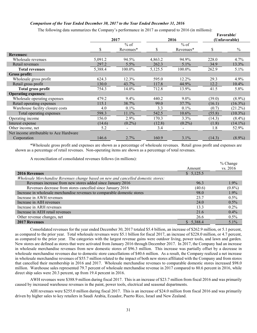# *Comparison of the Year Ended December 30, 2017 to the Year Ended December 31, 2016*

The following data summarizes the Company's performance in 2017 as compared to 2016 (in millions):

|                                         |         |           |         |                | Favorable/    |               |  |  |  |
|-----------------------------------------|---------|-----------|---------|----------------|---------------|---------------|--|--|--|
|                                         |         | 2017      |         | 2016           | (Unfavorable) |               |  |  |  |
|                                         | $%$ of  |           |         | $%$ of         |               |               |  |  |  |
|                                         | \$      | Revenues* | \$      | Revenues*      | \$            | $\frac{0}{0}$ |  |  |  |
| <b>Revenues:</b>                        |         |           |         |                |               |               |  |  |  |
| Wholesale revenues                      | 5,091.2 | 94.5%     | 4,863.2 | 94.9%          | 228.0         | 4.7%          |  |  |  |
| Retail revenues                         | 297.2   | 5.5%      | 262.3   | 5.1%           | 34.9          | 13.3%         |  |  |  |
| <b>Total revenues</b>                   | 5,388.4 | 100.0%    | 5,125.5 | 100.0%         | 262.9         | 5.1%          |  |  |  |
| <b>Gross profit:</b>                    |         |           |         |                |               |               |  |  |  |
| Wholesale gross profit                  | 624.3   | 12.3%     | 595.0   | 12.2%          | 29.3          | 4.9%          |  |  |  |
| Retail gross profit                     | 130.0   | 43.7%     | 117.8   | 44.9%          | 12.2          | $10.4\%$      |  |  |  |
| <b>Total gross profit</b>               | 754.3   | 14.0%     | 712.8   | 13.9%          | 41.5          | 5.8%          |  |  |  |
| <b>Operating expenses:</b>              |         |           |         |                |               |               |  |  |  |
| Wholesale operating expenses            | 479.2   | $9.4\%$   | 440.2   | $9.0\%$        | (39.0)        | $(8.9\%)$     |  |  |  |
| Retail operating expenses               | 115.1   | 38.7%     | 99.0    | 37.7%          | (16.1)        | $(16.3\%)$    |  |  |  |
| Warehouse facility closure costs        | 4.0     | $0.1\%$   | 3.3     | 0.1%           | (0.7)         | $(21.2\%)$    |  |  |  |
| Total operating expenses                | 598.3   | 11.1%     | 542.5   | 10.6%          | (55.8)        | $(10.3\%)$    |  |  |  |
| Operating income                        | 156.0   | 2.9%      | 170.3   | 3.3%           | (14.3)        | $(8.4\%)$     |  |  |  |
| Interest expense                        | (14.6)  | $(0.2\%)$ | (12.8)  | $(0.2\%)$      | (1.8)         | $(14.1\%)$    |  |  |  |
| Other income, net                       | 5.2     |           | 3.4     | $\blacksquare$ | 1.8           | 52.9%         |  |  |  |
| Net income attributable to Ace Hardware |         |           |         |                |               |               |  |  |  |
| Corporation                             | 146.6   | 2.7%      | 160.9   | 3.1%           | (14.3)        | $(8.9\%)$     |  |  |  |
|                                         |         |           |         |                |               |               |  |  |  |

\*Wholesale gross profit and expenses are shown as a percentage of wholesale revenues. Retail gross profit and expenses are shown as a percentage of retail revenues. Non-operating items are shown as a percentage of total revenues.

A reconciliation of consolidated revenues follows (in millions):

|                                                                                   |           | % Change  |
|-----------------------------------------------------------------------------------|-----------|-----------|
|                                                                                   | Amount    | vs. 2016  |
| 2016 Revenues                                                                     | \$5,125.5 |           |
| Wholesale Merchandise Revenues change based on new and cancelled domestic stores: |           |           |
| Revenues increase from new stores added since January 2016                        | 96.3      | $1.9\%$   |
| Revenues decrease from stores cancelled since January 2016                        | (40.6)    | $(0.8\%)$ |
| Increase in wholesale merchandise revenues to comparable domestic stores          | 98.0      | 1.9%      |
| Increase in AWH revenues                                                          | 23.7      | $0.5\%$   |
| Increase in AIH revenues                                                          | 24.0      | $0.5\%$   |
| Increase in ARH revenues                                                          | 13.3      | $0.2\%$   |
| Increase in AEH retail revenues                                                   | 21.6      | 0.4%      |
| Other revenue changes, net                                                        | 26.6      | $0.5\%$   |
| <b>2017 Revenues</b>                                                              | 5.388.4   | $5.1\%$   |

Consolidated revenues for the year ended December 30, 2017 totaled \$5.4 billion, an increase of \$262.9 million, or 5.1 percent, as compared to the prior year. Total wholesale revenues were \$5.1 billion for fiscal 2017, an increase of \$228.0 million, or 4.7 percent, as compared to the prior year. The categories with the largest revenue gains were outdoor living, power tools, and lawn and garden. New stores are defined as stores that were activated from January 2016 through December 2017. In 2017, the Company had an increase in wholesale merchandise revenues from new domestic stores of \$96.3 million. This increase was partially offset by a decrease in wholesale merchandise revenues due to domestic store cancellations of \$40.6 million. As a result, the Company realized a net increase in wholesale merchandise revenues of \$55.7 million related to the impact of both new stores affiliated with the Company and from stores that cancelled their membership in 2016 and 2017. Wholesale merchandise revenues to comparable domestic stores increased \$98.0 million. Warehouse sales represented 79.7 percent of wholesale merchandise revenue in 2017 compared to 80.6 percent in 2016, while direct ship sales were 20.3 percent, up from 19.4 percent in 2016.

AWH revenues were \$388.9 million during fiscal 2017. This is an increase of \$23.7 million from fiscal 2016 and was primarily caused by increased warehouse revenues in the paint, power tools, electrical and seasonal departments.

AIH revenues were \$255.0 million during fiscal 2017. This is an increase of \$24.0 million from fiscal 2016 and was primarily driven by higher sales to key retailers in Saudi Arabia, Ecuador, Puerto Rico, Israel and New Zealand.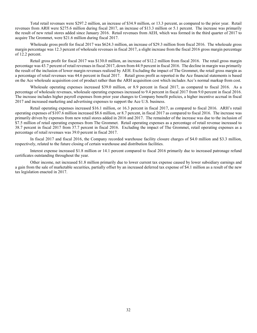Total retail revenues were \$297.2 million, an increase of \$34.9 million, or 13.3 percent, as compared to the prior year. Retail revenues from ARH were \$275.6 million during fiscal 2017, an increase of \$13.3 million or 5.1 percent. The increase was primarily the result of new retail stores added since January 2016. Retail revenues from AEH, which was formed in the third quarter of 2017 to acquire The Grommet, were \$21.6 million during fiscal 2017.

Wholesale gross profit for fiscal 2017 was \$624.3 million, an increase of \$29.3 million from fiscal 2016. The wholesale gross margin percentage was 12.3 percent of wholesale revenues in fiscal 2017, a slight increase from the fiscal 2016 gross margin percentage of 12.2 percent.

Retail gross profit for fiscal 2017 was \$130.0 million, an increase of \$12.2 million from fiscal 2016. The retail gross margin percentage was 43.7 percent of retail revenues in fiscal 2017, down from 44.9 percent in fiscal 2016. The decline in margin was primarily the result of the inclusion of lower margin revenues realized by AEH. Excluding the impact of The Grommet, the retail gross margin as a percentage of retail revenues was 44.6 percent in fiscal 2017. Retail gross profit as reported in the Ace financial statements is based on the Ace wholesale acquisition cost of product rather than the ARH acquisition cost which includes Ace's normal markup from cost.

Wholesale operating expenses increased \$39.0 million, or 8.9 percent in fiscal 2017, as compared to fiscal 2016. As a percentage of wholesale revenues, wholesale operating expenses increased to 9.4 percent in fiscal 2017 from 9.0 percent in fiscal 2016. The increase includes higher payroll expenses from prior year changes to Company benefit policies, a higher incentive accrual in fiscal 2017 and increased marketing and advertising expenses to support the Ace U.S. business.

Retail operating expenses increased \$16.1 million, or 16.3 percent in fiscal 2017, as compared to fiscal 2016. ARH's retail operating expenses of \$107.6 million increased \$8.6 million, or 8.7 percent, in fiscal 2017 as compared to fiscal 2016. The increase was primarily driven by expenses from new retail stores added in 2016 and 2017. The remainder of the increase was due to the inclusion of \$7.5 million of retail operating expenses from The Grommet. Retail operating expenses as a percentage of retail revenue increased to 38.7 percent in fiscal 2017 from 37.7 percent in fiscal 2016. Excluding the impact of The Grommet, retail operating expenses as a percentage of retail revenues was 39.0 percent in fiscal 2017.

In fiscal 2017 and fiscal 2016, the Company recorded warehouse facility closure charges of \$4.0 million and \$3.3 million, respectively, related to the future closing of certain warehouse and distribution facilities.

Interest expense increased \$1.8 million or 14.1 percent compared to fiscal 2016 primarily due to increased patronage refund certificates outstanding throughout the year.

Other income, net increased \$1.8 million primarily due to lower current tax expense caused by lower subsidiary earnings and a gain from the sale of marketable securities, partially offset by an increased deferred tax expense of \$4.1 million as a result of the new tax legislation enacted in 2017.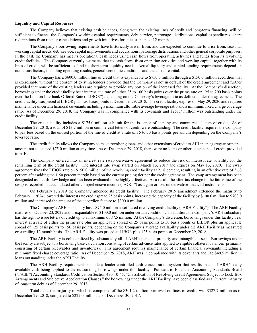#### **Liquidity and Capital Resources**

The Company believes that existing cash balances, along with the existing lines of credit and long-term financing, will be sufficient to finance the Company's working capital requirements, debt service, patronage distributions, capital expenditures, share redemptions from retailer cancellations and growth initiatives for at least the next 12 months.

The Company's borrowing requirements have historically arisen from, and are expected to continue to arise from, seasonal working capital needs, debt service, capital improvements and acquisitions, patronage distributions and other general corporate purposes. In the past, the Company has met its operational cash needs using cash flows from operating activities and funds from its revolving credit facilities. The Company currently estimates that its cash flows from operating activities and working capital, together with its lines of credit, will be sufficient to fund its short-term liquidity needs. Actual liquidity and capital funding requirements depend on numerous factors, including operating results, general economic conditions and the cost of capital.

The Company has a \$600.0 million line of credit that is expandable to \$750.0 million through a \$150.0 million accordion that is exercisable without the consent of existing lenders provided that the Company is not in default of the credit agreement and further provided that none of the existing lenders are required to provide any portion of the increased facility. At the Company's discretion, borrowings under the credit facility bear interest at a rate of either 25 to 100 basis points over the prime rate or 125 to 200 basis points over the London Interbank Offered Rate ("LIBOR") depending on the Company's leverage ratio as defined under the agreement. The credit facility was priced at LIBOR plus 150 basis points at December 29, 2018. The credit facility expires on May 29, 2020 and requires maintenance of certain financial covenants including a maximum allowable average leverage ratio and a minimum fixed charge coverage ratio. As of December 29, 2018, the Company was in compliance with its covenants and \$251.7 million was outstanding under the credit facility.

The credit facility includes a \$175.0 million sublimit for the issuance of standby and commercial letters of credit. As of December 29, 2018, a total of \$13.7 million in commercial letters of credit were outstanding. The credit facility requires the Company to pay fees based on the unused portion of the line of credit at a rate of 15 to 30 basis points per annum depending on the Company's leverage ratio.

The credit facility allows the Company to make revolving loans and other extensions of credit to AIH in an aggregate principal amount not to exceed \$75.0 million at any time. As of December 29, 2018, there were no loans or other extensions of credit provided to AIH.

The Company entered into an interest rate swap derivative agreement to reduce the risk of interest rate volatility for the remaining term of the credit facility. The interest rate swap started on March 13, 2017 and expires on May 13, 2020. The swap agreement fixes the LIBOR rate on \$150.0 million of the revolving credit facility at 2.18 percent, resulting in an effective rate of 3.68 percent after adding the 1.50 percent margin based on the current pricing tier per the credit agreement. The swap arrangement has been designated as a cash flow hedge and has been evaluated to be highly effective. As a result, the after-tax change in the fair value of the swap is recorded in accumulated other comprehensive income ("AOCI") as a gain or loss on derivative financial instruments.

On February 1, 2019 the Company amended its credit facility. The February 2019 amendment extended the maturity to February 1, 2024, lowered the interest rate credit spread 25 basis points, increased the capacity of the facility by \$100.0 million to \$700.0 million and increased the amount of the accordion feature to \$300.0 million.

The Company's ARH subsidiary has a \$75.0 million asset-based revolving credit facility ("ARH Facility"). The ARH Facility matures on October 23, 2022 and is expandable to \$100.0 million under certain conditions. In addition, the Company's ARH subsidiary has the right to issue letters of credit up to a maximum of \$7.5 million. At the Company's discretion, borrowings under this facility bear interest at a rate of either the prime rate plus an applicable spread of 25 basis points to 50 basis points or LIBOR plus an applicable spread of 125 basis points to 150 basis points, depending on the Company's average availability under the ARH Facility as measured on a trailing 12 month basis. The ARH Facility was priced at LIBOR plus 125 basis points at December 29, 2018.

The ARH Facility is collateralized by substantially all of ARH's personal property and intangible assets. Borrowings under the facility are subject to a borrowing base calculation consisting of certain advance rates applied to eligible collateral balances (primarily consisting of certain receivables and inventories). This agreement requires maintenance of certain financial covenants including a minimum fixed charge coverage ratio. As of December 29, 2018, ARH was in compliance with its covenants and had \$49.5 million in loans outstanding under the ARH Facility.

The ARH Facility requirements include a lender-controlled cash concentration system that results in all of ARH's daily available cash being applied to the outstanding borrowings under this facility. Pursuant to Financial Accounting Standards Board ("FASB") Accounting Standards Codification Section 470-10-45, "Classification of Revolving Credit Agreements Subject to Lock-Box Arrangements and Subjective Acceleration Clauses," the borrowings under the ARH Facility have been classified as a Current maturity of long-term debt as of December 29, 2018.

Total debt, the majority of which is comprised of the \$301.2 million borrowed on lines of credit, was \$327.7 million as of December 29, 2018, compared to \$222.0 million as of December 30, 2017.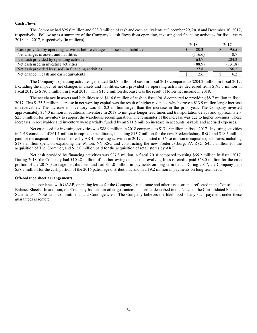#### **Cash Flows**

The Company had \$25.6 million and \$23.0 million of cash and cash equivalents at December 29, 2018 and December 30, 2017, respectively. Following is a summary of the Company's cash flows from operating, investing and financing activities for fiscal years 2018 and 2017, respectively (in millions):

|                                                                                | 2018    | 2017    |
|--------------------------------------------------------------------------------|---------|---------|
| Cash provided by operating activities before changes in assets and liabilities | 180.3   | 195.5   |
| Net changes in assets and liabilities                                          | (116.6) | 8.7     |
| Net cash provided by operating activities                                      | 63.7    | 204.2   |
| Net cash used in investing activities                                          | (88.9)  | (131.8) |
| Net cash provided by (used) in financing activities                            | 27.8    | (66.2)  |
| Net change in cash and cash equivalents                                        |         | 6.2     |
|                                                                                |         |         |

The Company's operating activities generated \$63.7 million of cash in fiscal 2018 compared to \$204.2 million in fiscal 2017. Excluding the impact of net changes in assets and liabilities, cash provided by operating activities decreased from \$195.5 million in fiscal 2017 to \$180.3 million in fiscal 2018. This \$15.2 million decrease was the result of lower net income in 2018.

The net change in assets and liabilities used \$116.6 million of cash in fiscal 2018 compared to providing \$8.7 million in fiscal 2017. This \$125.3 million decrease in net working capital was the result of higher revenues, which drove a \$13.9 million larger increase in receivables. The increase in inventory was \$118.3 million larger than the increase in the prior year. The Company invested approximately \$54.0 million in additional inventory in 2018 to mitigate longer lead times and transportation delays and approximately \$25.0 million for inventory to support the warehouse reconfiguration. The remainder of the increase was due to higher revenues. These increases in receivables and inventory were partially funded by an \$11.5 million increase in accounts payable and accrued expenses.

Net cash used for investing activities was \$88.9 million in 2018 compared to \$131.8 million in fiscal 2017. Investing activities in 2018 consisted of \$61.1 million in capital expenditures, including \$13.7 million for the new Fredericksburg RSC, and \$18.5 million paid for the acquisition of retail stores by ARH. Investing activities in 2017 consisted of \$64.6 million in capital expenditures, including \$18.3 million spent on expanding the Wilton, NY RSC and constructing the new Fredericksburg, PA RSC, \$45.5 million for the acquisition of The Grommet, and \$12.0 million paid for the acquisition of retail stores by ARH.

Net cash provided by financing activities was \$27.8 million in fiscal 2018 compared to using \$66.2 million in fiscal 2017. During 2018, the Company had \$104.8 million of net borrowings under the revolving lines of credit, paid \$58.0 million for the cash portion of the 2017 patronage distributions, and had \$11.0 million in payments on long-term debt. During 2017, the Company paid \$58.7 million for the cash portion of the 2016 patronage distributions, and had \$9.2 million in payments on long-term debt.

#### **Off-balance sheet arrangements**

In accordance with GAAP, operating leases for the Company's real estate and other assets are not reflected in the Consolidated Balance Sheets. In addition, the Company has certain other guarantees, as further described in the Notes to the Consolidated Financial Statements – Note 15 – Commitments and Contingencies. The Company believes the likelihood of any such payment under these guarantees is remote.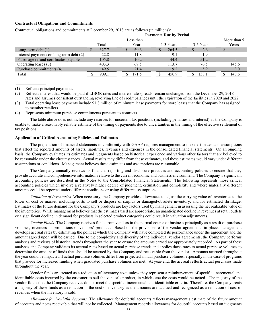# **Contractual Obligations and Commitments**

|                                         | <b>Payments Due by Period</b> |             |  |      |       |           |  |           |  |             |  |       |
|-----------------------------------------|-------------------------------|-------------|--|------|-------|-----------|--|-----------|--|-------------|--|-------|
|                                         |                               | Less than 1 |  |      |       |           |  |           |  | More than 5 |  |       |
|                                         |                               | Total       |  | Year |       | 1-3 Years |  | 3-5 Years |  | Years       |  |       |
| Long-term debt $(1)$                    | D                             | 327.7       |  |      | 60.6  |           |  | 264.5     |  | 2.6         |  |       |
| Interest payments on long-term debt (2) |                               | 22.8        |  |      | 11.8  |           |  | 9.1       |  | 1.9         |  |       |
| Patronage refund certificates payable   |                               | 105.8       |  |      | 10.2  |           |  | 44.4      |  | 51.2        |  |       |
| Operating leases (3)                    |                               | 403.3       |  |      | 67.5  |           |  | 113.7     |  | 76.5        |  | 145.6 |
| Purchase commitments (4)                |                               | 49.5        |  |      | 21.4  |           |  | 19.2      |  | 5.9         |  | 3.0   |
| Total                                   |                               | 909.1       |  |      | .71.5 |           |  | 450.9     |  | 138.1       |  | 148.6 |

Contractual obligations and commitments at December 29, 2018 are as follows (in millions):

(1) Reflects principal payments.

(2) Reflects interest that would be paid if LIBOR rates and interest rate spreads remain unchanged from the December 29, 2018 rates and assumes consistent outstanding revolving line of credit balances until the expiration of the facilities in 2020 and 2022

- (3) Total operating lease payments include \$1.8 million of minimum lease payments for store leases that the Company has assigned to member retailers.
- (4) Represents minimum purchase commitments pursuant to contracts.

The table above does not include any reserves for uncertain tax positions (including penalties and interest) as the Company is unable to make a reasonably reliable estimate of the timing of payments due to uncertainties in the timing of the effective settlement of tax positions.

#### **Application of Critical Accounting Policies and Estimates**

The preparation of financial statements in conformity with GAAP requires management to make estimates and assumptions that affect the reported amounts of assets, liabilities, revenues and expenses in the consolidated financial statements. On an ongoing basis, the Company evaluates its estimates and judgments based on historical experience and various other factors that are believed to be reasonable under the circumstances. Actual results may differ from these estimates, and these estimates would vary under different assumptions or conditions. Management believes these estimates and assumptions are reasonable.

The Company annually reviews its financial reporting and disclosure practices and accounting policies to ensure that they provide accurate and comprehensive information relative to the current economic and business environment. The Company's significant accounting policies are described in the Notes to the Consolidated Financial Statements. The following represents those critical accounting policies which involve a relatively higher degree of judgment, estimation and complexity and where materially different amounts could be reported under different conditions or using different assumptions.

*Valuation of Inventories* When necessary, the Company provides allowances to adjust the carrying value of inventories to the lower of cost or market, including costs to sell or dispose of surplus or damaged/obsolete inventory, and for estimated shrinkage. Estimates of the future demand for the Company's products are key factors used by management in assessing the net realizable value of the inventories. While management believes that the estimates used are appropriate, an unanticipated decline in revenues at retail outlets or a significant decline in demand for products in selected product categories could result in valuation adjustments.

*Vendor Funds* The Company receives funds from vendors in the normal course of business principally as a result of purchase volumes, revenues or promotions of vendors' products. Based on the provisions of the vendor agreements in place, management develops accrual rates by estimating the point at which the Company will have completed its performance under the agreement and the amount agreed upon will be earned. Due to the complexity and diversity of the individual vendor agreements, the Company performs analyses and reviews of historical trends throughout the year to ensure the amounts earned are appropriately recorded. As part of these analyses, the Company validates its accrual rates based on actual purchase trends and applies those rates to actual purchase volumes to determine the amount of funds that should be accrued by the Company and receivable from the vendor. Amounts accrued throughout the year could be impacted if actual purchase volumes differ from projected annual purchase volumes, especially in the case of programs that provide for increased funding when graduated purchase volumes are met. At year-end, the accrual reflects actual purchases made throughout the year.

Vendor funds are treated as a reduction of inventory cost, unless they represent a reimbursement of specific, incremental and identifiable costs incurred by the customer to sell the vendor's product, in which case the costs would be netted. The majority of the vendor funds that the Company receives do not meet the specific, incremental and identifiable criteria. Therefore, the Company treats a majority of these funds as a reduction in the cost of inventory as the amounts are accrued and recognized as a reduction of cost of revenues when the inventory is sold.

*Allowance for Doubtful Accounts* The allowance for doubtful accounts reflects management's estimate of the future amount of accounts and notes receivable that will not be collected. Management records allowances for doubtful accounts based on judgments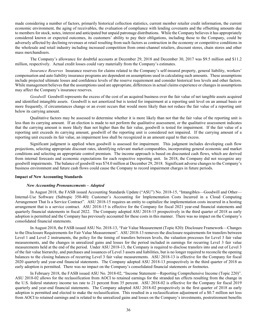made considering a number of factors, primarily historical collection statistics, current member retailer credit information, the current economic environment, the aging of receivables, the evaluation of compliance with lending covenants and the offsetting amounts due to members for stock, notes, interest and anticipated but unpaid patronage distributions. While the Company believes it has appropriately considered known or expected outcomes, its customers' ability to pay their obligations, including those to the Company, could be adversely affected by declining revenues at retail resulting from such factors as contraction in the economy or competitive conditions in the wholesale and retail industry including increased competition from omni-channel retailers, discount stores, chain stores and other mass merchandisers.

The Company's allowance for doubtful accounts at December 29, 2018 and December 30, 2017 was \$9.5 million and \$11.2 million, respectively. Actual credit losses could vary materially from the Company's estimates.

*Insurance Reserves* Insurance reserves for claims related to the Company's self-insured property, general liability, workers' compensation and auto liability insurance programs are dependent on assumptions used in calculating such amounts. These assumptions include projected ultimate losses and confidence levels of the reserve requirement and consider historical loss levels and other factors. While management believes that the assumptions used are appropriate, differences in actual claims experience or changes in assumptions may affect the Company's insurance reserves.

*Goodwill* Goodwill represents the excess of the cost of an acquired business over the fair value of net tangible assets acquired and identified intangible assets. Goodwill is not amortized but is tested for impairment at a reporting unit level on an annual basis or more frequently, if circumstances change or an event occurs that would more likely than not reduce the fair value of a reporting unit below its carrying amount.

Qualitative factors may be assessed to determine whether it is more likely than not that the fair value of the reporting unit is less than its carrying amount. If an election is made to not perform the qualitative assessment, or the qualitative assessment indicates that the carrying amount is more likely than not higher than the fair value, goodwill is tested for impairment. If the fair value of a reporting unit exceeds its carrying amount, goodwill of the reporting unit is considered not impaired. If the carrying amount of a reporting unit exceeds its fair value, an impairment loss shall be recognized in an amount equal to that excess.

Significant judgment is applied when goodwill is assessed for impairment. This judgment includes developing cash flow projections, selecting appropriate discount rates, identifying relevant market comparables, incorporating general economic and market conditions and selecting an appropriate control premium. The income approach is based on discounted cash flows, which are derived from internal forecasts and economic expectations for each respective reporting unit. In 2018, the Company did not recognize any goodwill impairments. The balance of goodwill was \$74.0 million at December 29, 2018. Significant adverse changes to the Company's business environment and future cash flows could cause the Company to record impairment charges in future periods.

#### **Impact of New Accounting Standards**

#### *New Accounting Pronouncements – Adopted*

In August 2018, the FASB issued Accounting Standards Update ("ASU") No. 2018-15, "Intangibles—Goodwill and Other— Internal-Use Software (Subtopic 350-40): Customer's Accounting for Implementation Costs Incurred in a Cloud Computing Arrangement That Is a Service Contract". ASU 2018-15 requires an entity to capitalize the implementation costs incurred in a hosting arrangement that is a service contract. ASU 2018-15 is effective for the Company for fiscal 2021 year-end financial statements and quarterly financial statements in fiscal 2022. The Company adopted ASU 2018-15 prospectively in the third quarter of 2018 as early adoption is permitted and the Company has previously accounted for these costs in this manner. There was no impact on the Company's consolidated financial statements.

In August 2018, the FASB issued ASU No. 2018-13, "Fair Value Measurement (Topic 820): Disclosure Framework—Changes to the Disclosure Requirements for Fair Value Measurement". ASU 2018-13 removes the disclosure requirements for transfers between Level 1 and Level 2 instruments, the policy for the timing of transfers between levels, the valuation processes for Level 3 fair value measurements, and the changes in unrealized gains and losses for the period included in earnings for recurring Level 3 fair value measurements held at the end of the period. Under ASU 2018-13, the Company is required to disclose transfers into and out of Level 3 of the fair value hierarchy, and purchases and issuances of Level 3 assets and liabilities, but is no longer required to reconcile the opening balances to the closing balances of recurring Level 3 fair value measurements. ASU 2018-13 is effective for the Company for fiscal 2020 quarterly and year-end financial statements. The Company adopted ASU 2018-13 prospectively in the third quarter of 2018 as early adoption is permitted. There was no impact on the Company's consolidated financial statements or footnotes.

In February 2018, the FASB issued ASU No. 2018-02, "Income Statement—Reporting Comprehensive Income (Topic 220)". ASU 2018-02 allows for the reclassification from AOCI to retained earnings for the stranded tax effects resulting from the change in the U.S. federal statutory income tax rate to 21 percent from 35 percent. ASU 2018-02 is effective for the Company for fiscal 2019 quarterly and year-end financial statements. The Company adopted ASU 2018-02 prospectively in the first quarter of 2018 as early adoption is permitted and elected to make the reclassification. This resulted in a reclassification adjustment of a \$0.7 million net loss from AOCI to retained earnings and is related to the unrealized gains and losses on the Company's investments, postretirement benefits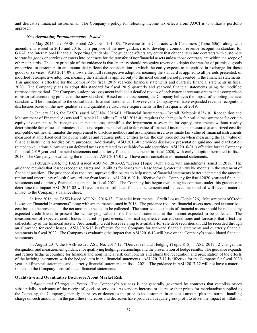and derivative financial instruments. The Company's policy for releasing income tax effects from AOCI is to utilize a portfolio approach.

## *New Accounting Pronouncements - Issued*

In May 2014, the FASB issued ASU No. 2014-09, "Revenue from Contracts with Customers (Topic 606)" along with amendments issued in 2015 and 2016. The purpose of the new guidance is to develop a common revenue recognition standard for GAAP and International Financial Reporting Standards. The guidance affects any entity that either enters into contracts with customers to transfer goods or services or enters into contracts for the transfer of nonfinancial assets unless those contracts are within the scope of other standards. The core principle of the guidance is that an entity should recognize revenue to depict the transfer of promised goods or services to customers in an amount that reflects the consideration to which the entity expects to be entitled in exchange for those goods or services. ASU 2014-09 allows either full retrospective adoption, meaning the standard is applied to all periods presented, or modified retrospective adoption, meaning the standard is applied only to the most current period presented in the financial statements. This guidance is effective for the Company for fiscal 2019 year-end financial statements and quarterly financial statements in fiscal 2020. The Company plans to adopt this standard for fiscal 2019 quarterly and year-end financial statements using the modified retrospective method. The Company's adoption assessment included a detailed review of each material revenue stream and a comparison of historical accounting policies to the new standard. Based on the assessment, the Company believes the impact of adopting the new standard will be immaterial to the consolidated financial statements. However, the Company will have expanded revenue recognition disclosures based on the new qualitative and quantitative disclosure requirements in the first quarter of 2019.

In January 2016, the FASB issued ASU No. 2016-01, "Financial Instruments—Overall (Subtopic 825-10), Recognition and Measurement of Financial Assets and Financial Liabilities." ASU 2016-01 requires the change in fair value measurement for certain equity investments to be recognized in net income, simplifies the impairment assessment for equity investments without readily determinable fair values, eliminates disclosure requirements related to fair value of financial instruments measured at amortized cost for non-public entities, eliminates the requirement to disclose methods and assumptions used to estimate fair value of financial instruments measured at amortized cost for public entities and requires public entities to use the exit price notion when measuring the fair value of financial instruments for disclosure purposes. Additionally, ASU 2016-01 provides disclosure presentation guidance and clarification related to valuations allowances on deferred tax assets related to available-for-sale securities. ASU 2016-01 is effective for the Company for fiscal 2019 year-end financial statements and quarterly financial statements in fiscal 2020, with early adoption permitted in fiscal 2018. The Company is evaluating the impact that ASU 2016-01 will have on its consolidated financial statements.

In February 2016, the FASB issued ASU No. 2016-02, "Leases (Topic 842)" along with amendments issued in 2018. The guidance requires that lessees recognize assets and liabilities for leases with lease terms greater than twelve months in the statement of financial position. The guidance also requires improved disclosures to help users of financial statements better understand the amount, timing and uncertainty of cash flows arising from leases. ASU 2016-02 is effective for the Company for fiscal 2020 year-end financial statements and quarterly financial statements in fiscal 2021. The Company has begun evaluating its contracts under this guidance to determine the impact ASU 2016-02 will have on its consolidated financial statements and believes the standard will have a material impact to the Company's balance sheet.

In June 2016, the FASB issued ASU No. 2016-13, "Financial Instruments—Credit Losses (Topic 326): Measurement of Credit Losses on Financial Instruments" along with amendments issued in 2018. The guidance requires financial assets measured at amortized cost basis to be presented at the net amount expected to be collected. The amortized cost basis of financial assets should be reduced by expected credit losses to present the net carrying value in the financial statements at the amount expected to be collected. The measurement of expected credit losses is based on past events, historical experience, current conditions and forecasts that affect the collectability of the financial assets. Additionally, credit losses relating to available-for-sale debt securities should be recorded through an allowance for credit losses. ASU 2016-13 is effective for the Company for year-end financial statements and quarterly financial statements in fiscal 2022. The Company is evaluating the impact that ASU 2016-13 will have on the Company's consolidated financial statements.

In August 2017, the FASB issued ASU No. 2017-12, "Derivatives and Hedging (Topic 815)." ASU 2017-12 changes the designation and measurement guidance for qualifying hedging relationships and the presentation of hedge results. The guidance expands and refines hedge accounting for financial and nonfinancial risk components and aligns the recognition and presentation of the effects of the hedging instrument with the hedged item in the financial statements. ASU 2017-12 is effective for the Company for fiscal 2020 year-end financial statements and quarterly financial statements in fiscal 2021. The guidance in ASU 2017-12 will not have a material impact on the Company's consolidated financial statements.

#### **Qualitative and Quantitative Disclosure About Market Risk**

*Inflation and Changes in Prices* The Company's business is not generally governed by contracts that establish prices substantially in advance of the receipt of goods or services. As vendors increase or decrease their prices for merchandise supplied to the Company, the Company generally increases or decreases the price to its customers in an equal amount plus the normal handling charge on such amounts. In the past, these increases and decreases have provided adequate gross profit to offset the impact of inflation.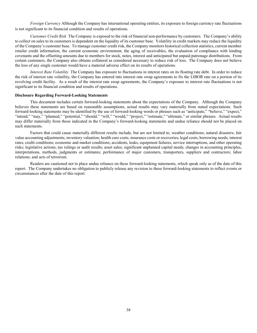*Foreign Currency* Although the Company has international operating entities, its exposure to foreign currency rate fluctuations is not significant to its financial condition and results of operations.

*Customer Credit Risk* The Company is exposed to the risk of financial non-performance by customers. The Company's ability to collect on sales to its customers is dependent on the liquidity of its customer base. Volatility in credit markets may reduce the liquidity of the Company's customer base. To manage customer credit risk, the Company monitors historical collection statistics, current member retailer credit information, the current economic environment, the aging of receivables, the evaluation of compliance with lending covenants and the offsetting amounts due to members for stock, notes, interest and anticipated but unpaid patronage distributions. From certain customers, the Company also obtains collateral as considered necessary to reduce risk of loss. The Company does not believe the loss of any single customer would have a material adverse effect on its results of operations.

*Interest Rate Volatility* The Company has exposure to fluctuations in interest rates on its floating rate debt. In order to reduce the risk of interest rate volatility, the Company has entered into interest rate swap agreements to fix the LIBOR rate on a portion of its revolving credit facility. As a result of the interest rate swap agreements, the Company's exposure to interest rate fluctuations is not significant to its financial condition and results of operations.

#### **Disclosure Regarding Forward-Looking Statements**

This document includes certain forward-looking statements about the expectations of the Company. Although the Company believes these statements are based on reasonable assumptions, actual results may vary materially from stated expectations. Such forward-looking statements may be identified by the use of forward-looking words or phrases such as "anticipate," "believe," "expect," "intend," "may," "planned," "potential," "should," "will," "would," "project," "estimate," "ultimate," or similar phrases. Actual results may differ materially from those indicated in the Company's forward-looking statements and undue reliance should not be placed on such statements.

Factors that could cause materially different results include, but are not limited to, weather conditions; natural disasters; fair value accounting adjustments; inventory valuation; health care costs; insurance costs or recoveries; legal costs; borrowing needs; interest rates; credit conditions; economic and market conditions; accidents, leaks, equipment failures, service interruptions, and other operating risks; legislative actions; tax rulings or audit results; asset sales; significant unplanned capital needs; changes in accounting principles, interpretations, methods, judgments or estimates; performance of major customers, transporters, suppliers and contractors; labor relations; and acts of terrorism.

Readers are cautioned not to place undue reliance on these forward-looking statements, which speak only as of the date of this report. The Company undertakes no obligation to publicly release any revision to these forward-looking statements to reflect events or circumstances after the date of this report.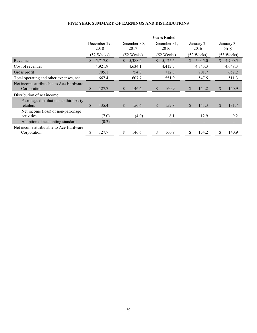# **FIVE YEAR SUMMARY OF EARNINGS AND DISTRIBUTIONS**

|                                                        | <b>Years Ended</b> |                                              |               |                          |                      |                      |               |                    |               |                    |
|--------------------------------------------------------|--------------------|----------------------------------------------|---------------|--------------------------|----------------------|----------------------|---------------|--------------------|---------------|--------------------|
|                                                        |                    | December 29,<br>December 30,<br>2018<br>2017 |               |                          | December 31,<br>2016 |                      |               | January 2,<br>2016 |               | January 3,<br>2015 |
|                                                        |                    | (52 Weeks)                                   |               | (52 Weeks)<br>(52 Weeks) |                      | $(52 \text{ weeks})$ |               | (53 Weeks)         |               |                    |
| Revenues                                               | <sup>S</sup>       | 5,717.0                                      | $\mathcal{S}$ | 5,388.4                  | $\mathcal{S}$        | 5,125.5              | $\mathcal{S}$ | 5,045.0            | $\mathcal{S}$ | 4,700.5            |
| Cost of revenues                                       |                    | 4,921.9                                      |               | 4,634.1                  |                      | 4,412.7              |               | 4,343.3            |               | 4,048.3            |
| Gross profit                                           |                    | 795.1                                        |               | 754.3                    |                      | 712.8                |               | 701.7              |               | 652.2              |
| Total operating and other expenses, net                |                    | 667.4                                        |               | 607.7                    |                      | 551.9                |               | 547.5              |               | 511.3              |
| Net income attributable to Ace Hardware<br>Corporation | S                  | 127.7                                        | S             | 146.6                    | $\mathbb{S}$         | 160.9                | <sup>S</sup>  | 154.2              | <b>S</b>      | 140.9              |
| Distribution of net income:                            |                    |                                              |               |                          |                      |                      |               |                    |               |                    |
| Patronage distributions to third party<br>retailers    | \$.                | 135.4                                        | $\mathcal{S}$ | 150.6                    | $\mathbb{S}$         | 152.8                | $\mathbb{S}$  | 141.3              | \$            | 131.7              |
| Net income (loss) of non-patronage<br>activities       |                    | (7.0)                                        |               | (4.0)                    |                      | 8.1                  |               | 12.9               |               | 9.2                |
| Adoption of accounting standard                        |                    | (0.7)                                        |               |                          |                      |                      |               |                    |               |                    |
| Net income attributable to Ace Hardware<br>Corporation | S                  | 127.7                                        | S             | 146.6                    | \$                   | 160.9                | S             | 154.2              | S             | 140.9              |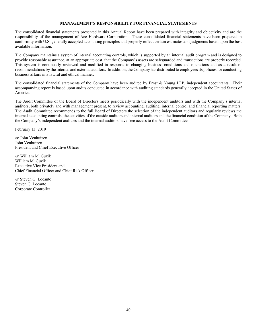## **MANAGEMENT'S RESPONSIBILITY FOR FINANCIAL STATEMENTS**

The consolidated financial statements presented in this Annual Report have been prepared with integrity and objectivity and are the responsibility of the management of Ace Hardware Corporation. These consolidated financial statements have been prepared in conformity with U.S. generally accepted accounting principles and properly reflect certain estimates and judgments based upon the best available information.

The Company maintains a system of internal accounting controls, which is supported by an internal audit program and is designed to provide reasonable assurance, at an appropriate cost, that the Company's assets are safeguarded and transactions are properly recorded. This system is continually reviewed and modified in response to changing business conditions and operations and as a result of recommendations by the internal and external auditors. In addition, the Company has distributed to employees its policies for conducting business affairs in a lawful and ethical manner.

The consolidated financial statements of the Company have been audited by Ernst & Young LLP, independent accountants. Their accompanying report is based upon audits conducted in accordance with auditing standards generally accepted in the United States of America.

The Audit Committee of the Board of Directors meets periodically with the independent auditors and with the Company's internal auditors, both privately and with management present, to review accounting, auditing, internal control and financial reporting matters. The Audit Committee recommends to the full Board of Directors the selection of the independent auditors and regularly reviews the internal accounting controls, the activities of the outside auditors and internal auditors and the financial condition of the Company. Both the Company's independent auditors and the internal auditors have free access to the Audit Committee.

February 13, 2019

/s/ John Venhuizen John Venhuizen President and Chief Executive Officer

/s/ William M. Guzik William M. Guzik Executive Vice President and Chief Financial Officer and Chief Risk Officer

/s/ Steven G. Locanto Steven G. Locanto Corporate Controller